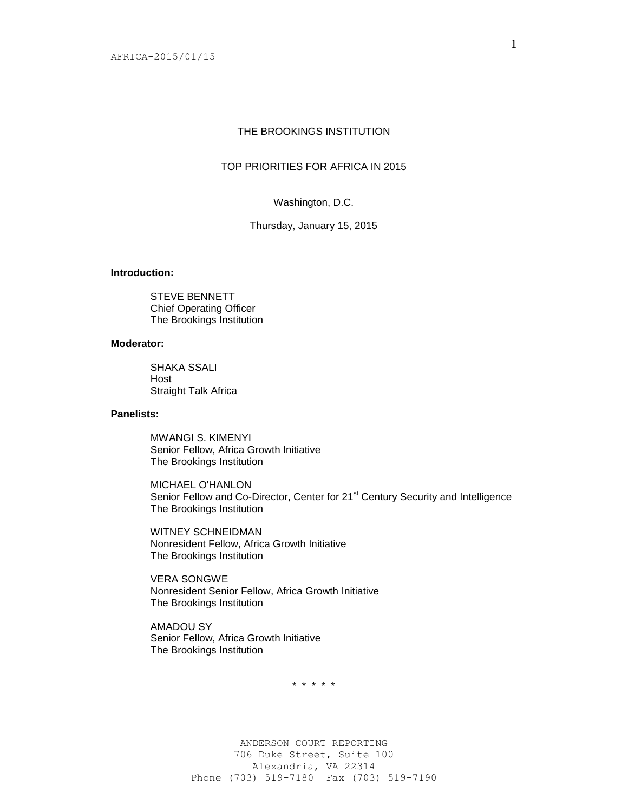# THE BROOKINGS INSTITUTION

# TOP PRIORITIES FOR AFRICA IN 2015

Washington, D.C.

Thursday, January 15, 2015

# **Introduction:**

STEVE BENNETT Chief Operating Officer The Brookings Institution

### **Moderator:**

SHAKA SSALI Host Straight Talk Africa

### **Panelists:**

MWANGI S. KIMENYI Senior Fellow, Africa Growth Initiative The Brookings Institution

MICHAEL O'HANLON Senior Fellow and Co-Director, Center for 21<sup>st</sup> Century Security and Intelligence The Brookings Institution

WITNEY SCHNEIDMAN Nonresident Fellow, Africa Growth Initiative The Brookings Institution

VERA SONGWE Nonresident Senior Fellow, Africa Growth Initiative The Brookings Institution

AMADOU SY Senior Fellow, Africa Growth Initiative The Brookings Institution

\* \* \* \* \*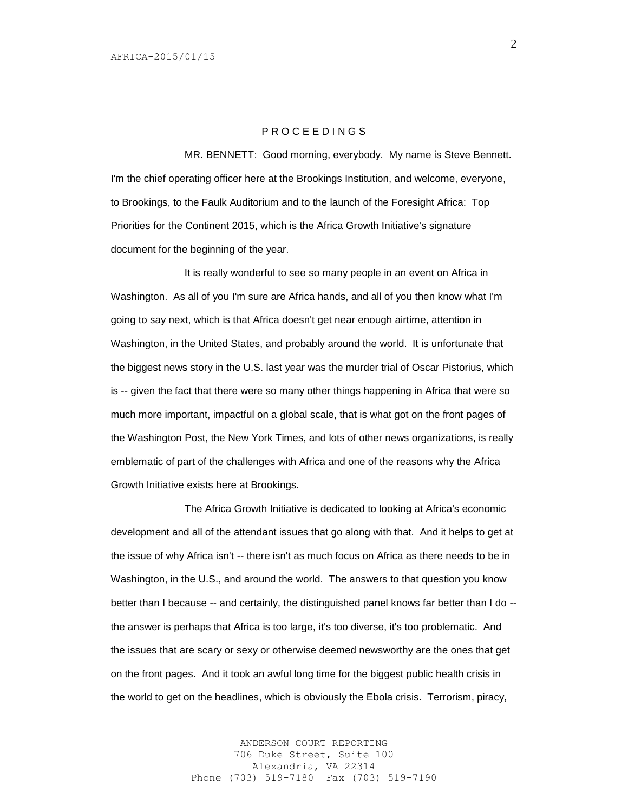# P R O C E E D I N G S

MR. BENNETT: Good morning, everybody. My name is Steve Bennett. I'm the chief operating officer here at the Brookings Institution, and welcome, everyone, to Brookings, to the Faulk Auditorium and to the launch of the Foresight Africa: Top Priorities for the Continent 2015, which is the Africa Growth Initiative's signature document for the beginning of the year.

It is really wonderful to see so many people in an event on Africa in Washington. As all of you I'm sure are Africa hands, and all of you then know what I'm going to say next, which is that Africa doesn't get near enough airtime, attention in Washington, in the United States, and probably around the world. It is unfortunate that the biggest news story in the U.S. last year was the murder trial of Oscar Pistorius, which is -- given the fact that there were so many other things happening in Africa that were so much more important, impactful on a global scale, that is what got on the front pages of the Washington Post, the New York Times, and lots of other news organizations, is really emblematic of part of the challenges with Africa and one of the reasons why the Africa Growth Initiative exists here at Brookings.

The Africa Growth Initiative is dedicated to looking at Africa's economic development and all of the attendant issues that go along with that. And it helps to get at the issue of why Africa isn't -- there isn't as much focus on Africa as there needs to be in Washington, in the U.S., and around the world. The answers to that question you know better than I because -- and certainly, the distinguished panel knows far better than I do - the answer is perhaps that Africa is too large, it's too diverse, it's too problematic. And the issues that are scary or sexy or otherwise deemed newsworthy are the ones that get on the front pages. And it took an awful long time for the biggest public health crisis in the world to get on the headlines, which is obviously the Ebola crisis. Terrorism, piracy,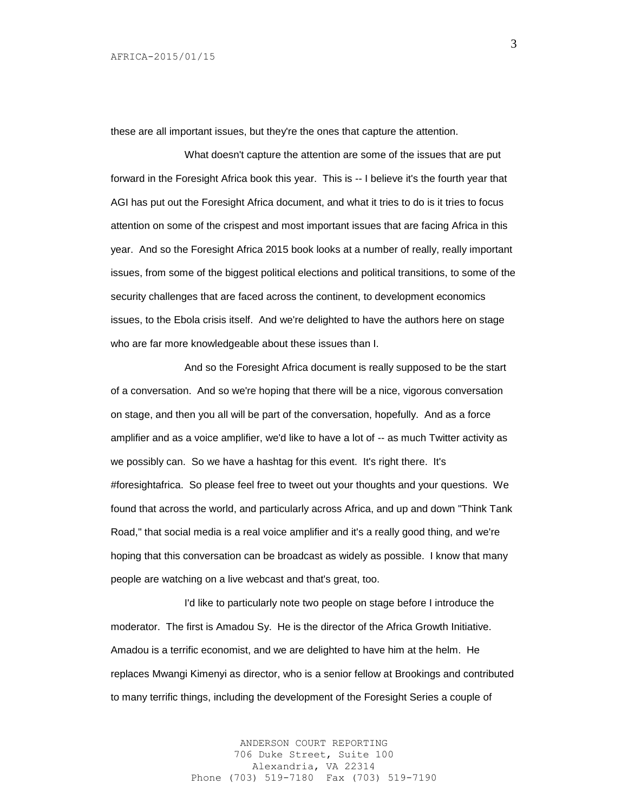these are all important issues, but they're the ones that capture the attention.

What doesn't capture the attention are some of the issues that are put forward in the Foresight Africa book this year. This is -- I believe it's the fourth year that AGI has put out the Foresight Africa document, and what it tries to do is it tries to focus attention on some of the crispest and most important issues that are facing Africa in this year. And so the Foresight Africa 2015 book looks at a number of really, really important issues, from some of the biggest political elections and political transitions, to some of the security challenges that are faced across the continent, to development economics issues, to the Ebola crisis itself. And we're delighted to have the authors here on stage who are far more knowledgeable about these issues than I.

And so the Foresight Africa document is really supposed to be the start of a conversation. And so we're hoping that there will be a nice, vigorous conversation on stage, and then you all will be part of the conversation, hopefully. And as a force amplifier and as a voice amplifier, we'd like to have a lot of -- as much Twitter activity as we possibly can. So we have a hashtag for this event. It's right there. It's #foresightafrica. So please feel free to tweet out your thoughts and your questions. We found that across the world, and particularly across Africa, and up and down "Think Tank Road," that social media is a real voice amplifier and it's a really good thing, and we're hoping that this conversation can be broadcast as widely as possible. I know that many people are watching on a live webcast and that's great, too.

I'd like to particularly note two people on stage before I introduce the moderator. The first is Amadou Sy. He is the director of the Africa Growth Initiative. Amadou is a terrific economist, and we are delighted to have him at the helm. He replaces Mwangi Kimenyi as director, who is a senior fellow at Brookings and contributed to many terrific things, including the development of the Foresight Series a couple of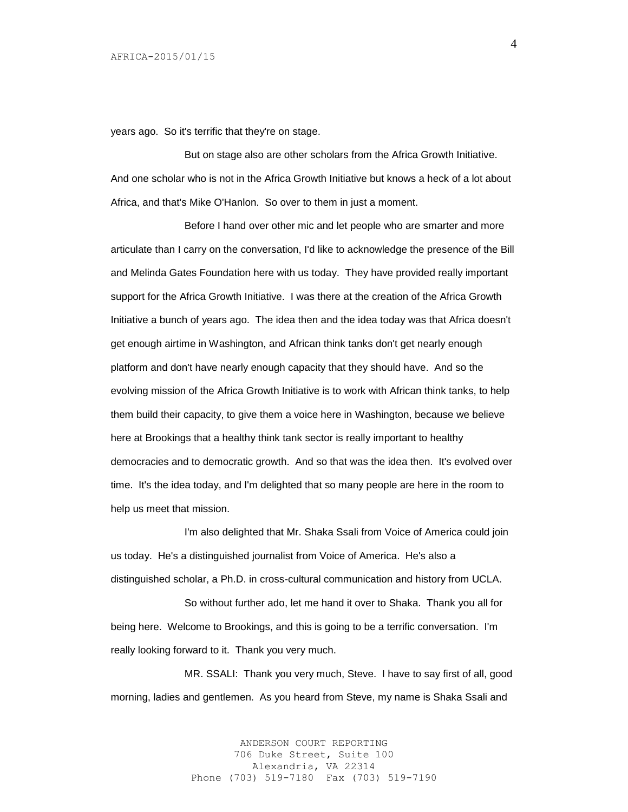years ago. So it's terrific that they're on stage.

But on stage also are other scholars from the Africa Growth Initiative. And one scholar who is not in the Africa Growth Initiative but knows a heck of a lot about Africa, and that's Mike O'Hanlon. So over to them in just a moment.

Before I hand over other mic and let people who are smarter and more articulate than I carry on the conversation, I'd like to acknowledge the presence of the Bill and Melinda Gates Foundation here with us today. They have provided really important support for the Africa Growth Initiative. I was there at the creation of the Africa Growth Initiative a bunch of years ago. The idea then and the idea today was that Africa doesn't get enough airtime in Washington, and African think tanks don't get nearly enough platform and don't have nearly enough capacity that they should have. And so the evolving mission of the Africa Growth Initiative is to work with African think tanks, to help them build their capacity, to give them a voice here in Washington, because we believe here at Brookings that a healthy think tank sector is really important to healthy democracies and to democratic growth. And so that was the idea then. It's evolved over time. It's the idea today, and I'm delighted that so many people are here in the room to help us meet that mission.

I'm also delighted that Mr. Shaka Ssali from Voice of America could join us today. He's a distinguished journalist from Voice of America. He's also a distinguished scholar, a Ph.D. in cross-cultural communication and history from UCLA.

So without further ado, let me hand it over to Shaka. Thank you all for being here. Welcome to Brookings, and this is going to be a terrific conversation. I'm really looking forward to it. Thank you very much.

MR. SSALI: Thank you very much, Steve. I have to say first of all, good morning, ladies and gentlemen. As you heard from Steve, my name is Shaka Ssali and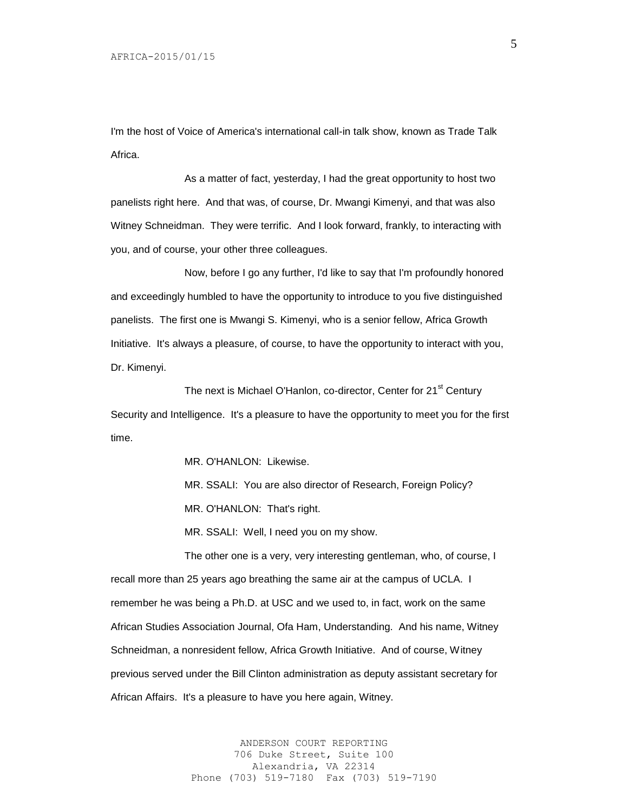I'm the host of Voice of America's international call-in talk show, known as Trade Talk **Africa** 

As a matter of fact, yesterday, I had the great opportunity to host two panelists right here. And that was, of course, Dr. Mwangi Kimenyi, and that was also Witney Schneidman. They were terrific. And I look forward, frankly, to interacting with you, and of course, your other three colleagues.

Now, before I go any further, I'd like to say that I'm profoundly honored and exceedingly humbled to have the opportunity to introduce to you five distinguished panelists. The first one is Mwangi S. Kimenyi, who is a senior fellow, Africa Growth Initiative. It's always a pleasure, of course, to have the opportunity to interact with you, Dr. Kimenyi.

The next is Michael O'Hanlon, co-director, Center for 21<sup>st</sup> Century Security and Intelligence. It's a pleasure to have the opportunity to meet you for the first time.

MR. O'HANLON: Likewise.

MR. SSALI: You are also director of Research, Foreign Policy? MR. O'HANLON: That's right.

MR. SSALI: Well, I need you on my show.

The other one is a very, very interesting gentleman, who, of course, I recall more than 25 years ago breathing the same air at the campus of UCLA. I remember he was being a Ph.D. at USC and we used to, in fact, work on the same African Studies Association Journal, Ofa Ham, Understanding. And his name, Witney Schneidman, a nonresident fellow, Africa Growth Initiative. And of course, Witney previous served under the Bill Clinton administration as deputy assistant secretary for African Affairs. It's a pleasure to have you here again, Witney.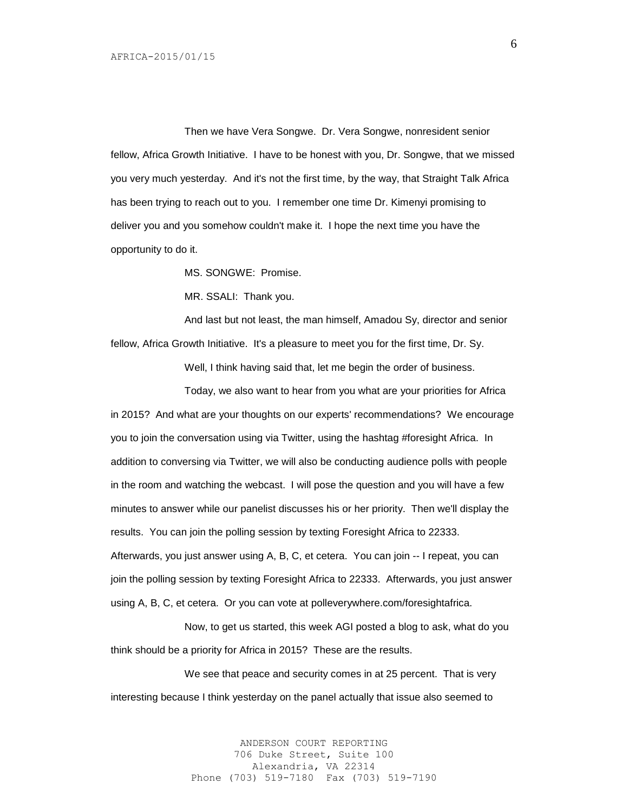Then we have Vera Songwe. Dr. Vera Songwe, nonresident senior fellow, Africa Growth Initiative. I have to be honest with you, Dr. Songwe, that we missed you very much yesterday. And it's not the first time, by the way, that Straight Talk Africa has been trying to reach out to you. I remember one time Dr. Kimenyi promising to deliver you and you somehow couldn't make it. I hope the next time you have the opportunity to do it.

MS. SONGWE: Promise.

MR. SSALI: Thank you.

And last but not least, the man himself, Amadou Sy, director and senior fellow, Africa Growth Initiative. It's a pleasure to meet you for the first time, Dr. Sy.

Well, I think having said that, let me begin the order of business.

Today, we also want to hear from you what are your priorities for Africa in 2015? And what are your thoughts on our experts' recommendations? We encourage you to join the conversation using via Twitter, using the hashtag #foresight Africa. In addition to conversing via Twitter, we will also be conducting audience polls with people in the room and watching the webcast. I will pose the question and you will have a few minutes to answer while our panelist discusses his or her priority. Then we'll display the results. You can join the polling session by texting Foresight Africa to 22333. Afterwards, you just answer using A, B, C, et cetera. You can join -- I repeat, you can join the polling session by texting Foresight Africa to 22333. Afterwards, you just answer using A, B, C, et cetera. Or you can vote at polleverywhere.com/foresightafrica.

Now, to get us started, this week AGI posted a blog to ask, what do you think should be a priority for Africa in 2015? These are the results.

We see that peace and security comes in at 25 percent. That is very interesting because I think yesterday on the panel actually that issue also seemed to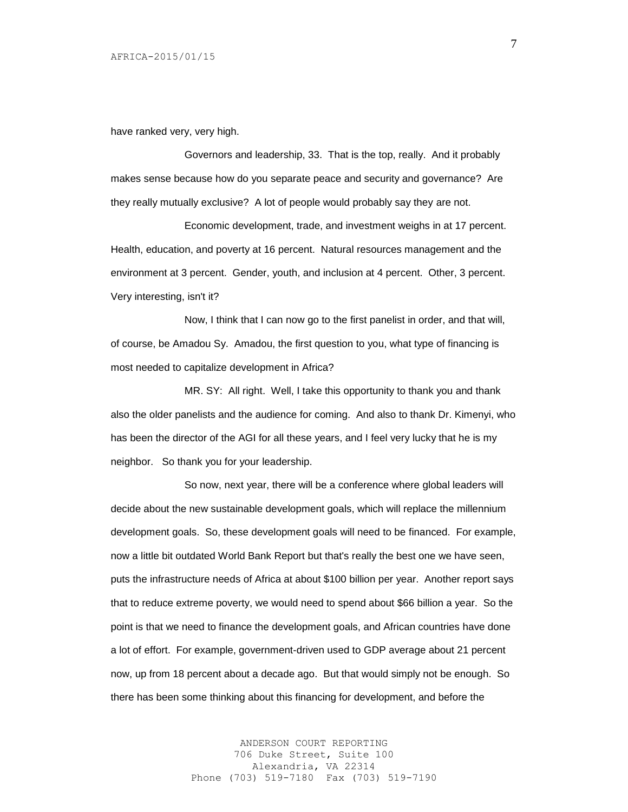have ranked very, very high.

Governors and leadership, 33. That is the top, really. And it probably makes sense because how do you separate peace and security and governance? Are they really mutually exclusive? A lot of people would probably say they are not.

Economic development, trade, and investment weighs in at 17 percent. Health, education, and poverty at 16 percent. Natural resources management and the environment at 3 percent. Gender, youth, and inclusion at 4 percent. Other, 3 percent. Very interesting, isn't it?

Now, I think that I can now go to the first panelist in order, and that will, of course, be Amadou Sy. Amadou, the first question to you, what type of financing is most needed to capitalize development in Africa?

MR. SY: All right. Well, I take this opportunity to thank you and thank also the older panelists and the audience for coming. And also to thank Dr. Kimenyi, who has been the director of the AGI for all these years, and I feel very lucky that he is my neighbor. So thank you for your leadership.

So now, next year, there will be a conference where global leaders will decide about the new sustainable development goals, which will replace the millennium development goals. So, these development goals will need to be financed. For example, now a little bit outdated World Bank Report but that's really the best one we have seen, puts the infrastructure needs of Africa at about \$100 billion per year. Another report says that to reduce extreme poverty, we would need to spend about \$66 billion a year. So the point is that we need to finance the development goals, and African countries have done a lot of effort. For example, government-driven used to GDP average about 21 percent now, up from 18 percent about a decade ago. But that would simply not be enough. So there has been some thinking about this financing for development, and before the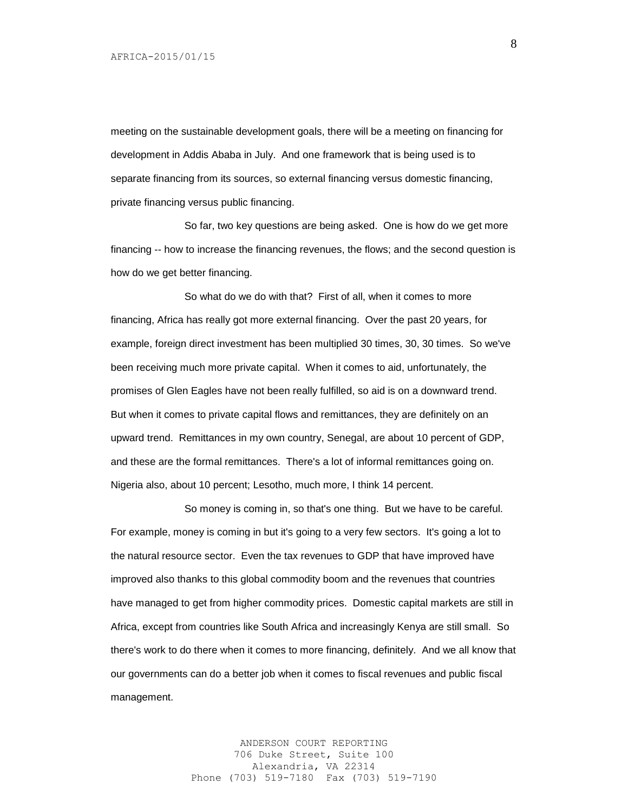meeting on the sustainable development goals, there will be a meeting on financing for development in Addis Ababa in July. And one framework that is being used is to separate financing from its sources, so external financing versus domestic financing, private financing versus public financing.

So far, two key questions are being asked. One is how do we get more financing -- how to increase the financing revenues, the flows; and the second question is how do we get better financing.

So what do we do with that? First of all, when it comes to more financing, Africa has really got more external financing. Over the past 20 years, for example, foreign direct investment has been multiplied 30 times, 30, 30 times. So we've been receiving much more private capital. When it comes to aid, unfortunately, the promises of Glen Eagles have not been really fulfilled, so aid is on a downward trend. But when it comes to private capital flows and remittances, they are definitely on an upward trend. Remittances in my own country, Senegal, are about 10 percent of GDP, and these are the formal remittances. There's a lot of informal remittances going on. Nigeria also, about 10 percent; Lesotho, much more, I think 14 percent.

So money is coming in, so that's one thing. But we have to be careful. For example, money is coming in but it's going to a very few sectors. It's going a lot to the natural resource sector. Even the tax revenues to GDP that have improved have improved also thanks to this global commodity boom and the revenues that countries have managed to get from higher commodity prices. Domestic capital markets are still in Africa, except from countries like South Africa and increasingly Kenya are still small. So there's work to do there when it comes to more financing, definitely. And we all know that our governments can do a better job when it comes to fiscal revenues and public fiscal management.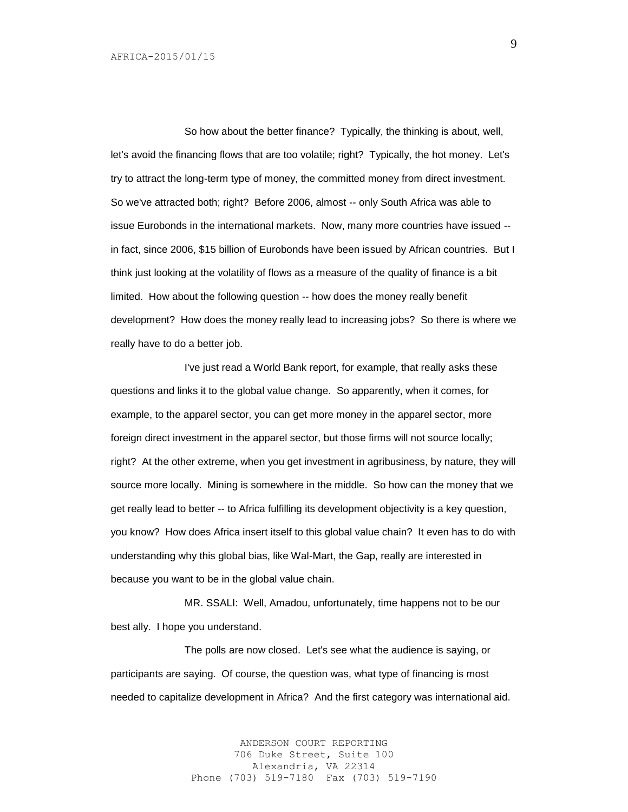So how about the better finance? Typically, the thinking is about, well, let's avoid the financing flows that are too volatile; right? Typically, the hot money. Let's try to attract the long-term type of money, the committed money from direct investment. So we've attracted both; right? Before 2006, almost -- only South Africa was able to issue Eurobonds in the international markets. Now, many more countries have issued - in fact, since 2006, \$15 billion of Eurobonds have been issued by African countries. But I think just looking at the volatility of flows as a measure of the quality of finance is a bit limited. How about the following question -- how does the money really benefit development? How does the money really lead to increasing jobs? So there is where we really have to do a better job.

I've just read a World Bank report, for example, that really asks these questions and links it to the global value change. So apparently, when it comes, for example, to the apparel sector, you can get more money in the apparel sector, more foreign direct investment in the apparel sector, but those firms will not source locally; right? At the other extreme, when you get investment in agribusiness, by nature, they will source more locally. Mining is somewhere in the middle. So how can the money that we get really lead to better -- to Africa fulfilling its development objectivity is a key question, you know? How does Africa insert itself to this global value chain? It even has to do with understanding why this global bias, like Wal-Mart, the Gap, really are interested in because you want to be in the global value chain.

MR. SSALI: Well, Amadou, unfortunately, time happens not to be our best ally. I hope you understand.

The polls are now closed. Let's see what the audience is saying, or participants are saying. Of course, the question was, what type of financing is most needed to capitalize development in Africa? And the first category was international aid.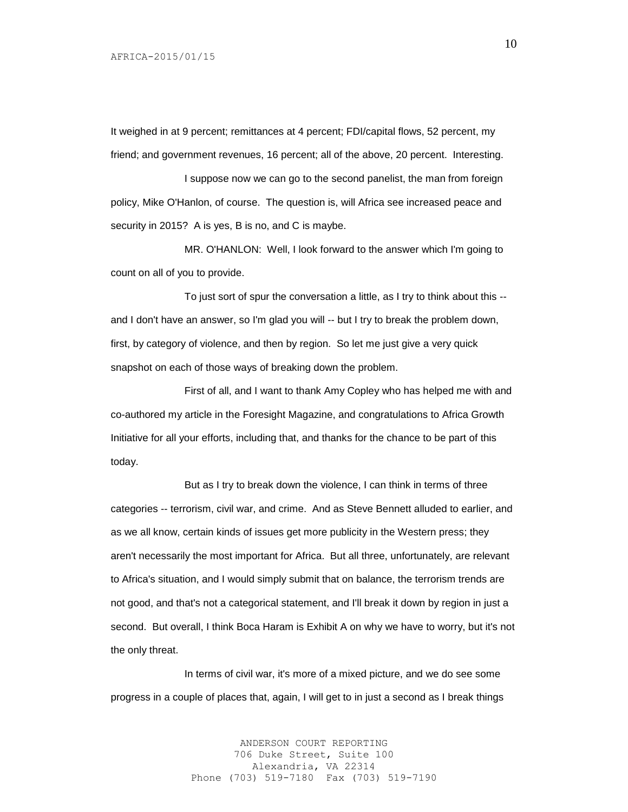It weighed in at 9 percent; remittances at 4 percent; FDI/capital flows, 52 percent, my friend; and government revenues, 16 percent; all of the above, 20 percent. Interesting.

I suppose now we can go to the second panelist, the man from foreign policy, Mike O'Hanlon, of course. The question is, will Africa see increased peace and security in 2015? A is yes, B is no, and C is maybe.

MR. O'HANLON: Well, I look forward to the answer which I'm going to count on all of you to provide.

To just sort of spur the conversation a little, as I try to think about this - and I don't have an answer, so I'm glad you will -- but I try to break the problem down, first, by category of violence, and then by region. So let me just give a very quick snapshot on each of those ways of breaking down the problem.

First of all, and I want to thank Amy Copley who has helped me with and co-authored my article in the Foresight Magazine, and congratulations to Africa Growth Initiative for all your efforts, including that, and thanks for the chance to be part of this today.

But as I try to break down the violence, I can think in terms of three categories -- terrorism, civil war, and crime. And as Steve Bennett alluded to earlier, and as we all know, certain kinds of issues get more publicity in the Western press; they aren't necessarily the most important for Africa. But all three, unfortunately, are relevant to Africa's situation, and I would simply submit that on balance, the terrorism trends are not good, and that's not a categorical statement, and I'll break it down by region in just a second. But overall, I think Boca Haram is Exhibit A on why we have to worry, but it's not the only threat.

In terms of civil war, it's more of a mixed picture, and we do see some progress in a couple of places that, again, I will get to in just a second as I break things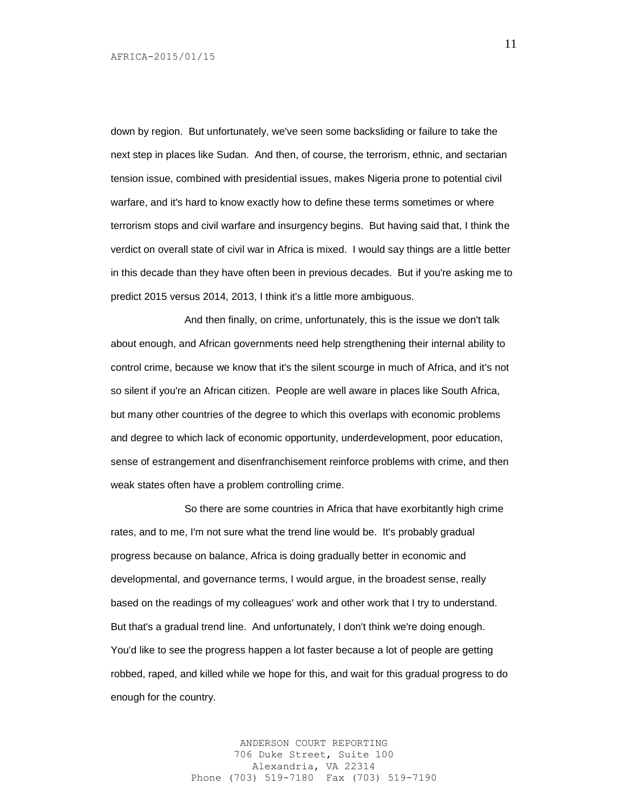down by region. But unfortunately, we've seen some backsliding or failure to take the next step in places like Sudan. And then, of course, the terrorism, ethnic, and sectarian tension issue, combined with presidential issues, makes Nigeria prone to potential civil warfare, and it's hard to know exactly how to define these terms sometimes or where terrorism stops and civil warfare and insurgency begins. But having said that, I think the verdict on overall state of civil war in Africa is mixed. I would say things are a little better in this decade than they have often been in previous decades. But if you're asking me to predict 2015 versus 2014, 2013, I think it's a little more ambiguous.

And then finally, on crime, unfortunately, this is the issue we don't talk about enough, and African governments need help strengthening their internal ability to control crime, because we know that it's the silent scourge in much of Africa, and it's not so silent if you're an African citizen. People are well aware in places like South Africa, but many other countries of the degree to which this overlaps with economic problems and degree to which lack of economic opportunity, underdevelopment, poor education, sense of estrangement and disenfranchisement reinforce problems with crime, and then weak states often have a problem controlling crime.

So there are some countries in Africa that have exorbitantly high crime rates, and to me, I'm not sure what the trend line would be. It's probably gradual progress because on balance, Africa is doing gradually better in economic and developmental, and governance terms, I would argue, in the broadest sense, really based on the readings of my colleagues' work and other work that I try to understand. But that's a gradual trend line. And unfortunately, I don't think we're doing enough. You'd like to see the progress happen a lot faster because a lot of people are getting robbed, raped, and killed while we hope for this, and wait for this gradual progress to do enough for the country.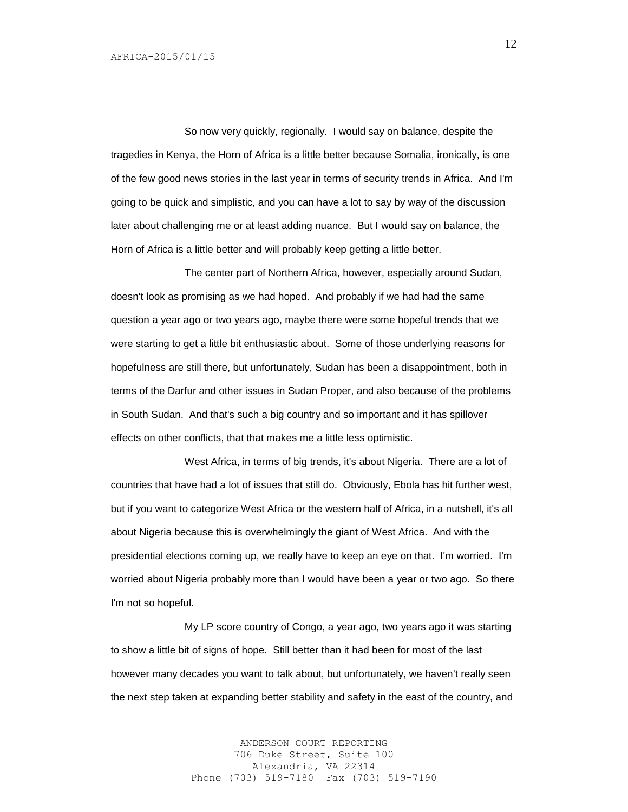So now very quickly, regionally. I would say on balance, despite the tragedies in Kenya, the Horn of Africa is a little better because Somalia, ironically, is one of the few good news stories in the last year in terms of security trends in Africa. And I'm going to be quick and simplistic, and you can have a lot to say by way of the discussion later about challenging me or at least adding nuance. But I would say on balance, the Horn of Africa is a little better and will probably keep getting a little better.

The center part of Northern Africa, however, especially around Sudan, doesn't look as promising as we had hoped. And probably if we had had the same question a year ago or two years ago, maybe there were some hopeful trends that we were starting to get a little bit enthusiastic about. Some of those underlying reasons for hopefulness are still there, but unfortunately, Sudan has been a disappointment, both in terms of the Darfur and other issues in Sudan Proper, and also because of the problems in South Sudan. And that's such a big country and so important and it has spillover effects on other conflicts, that that makes me a little less optimistic.

West Africa, in terms of big trends, it's about Nigeria. There are a lot of countries that have had a lot of issues that still do. Obviously, Ebola has hit further west, but if you want to categorize West Africa or the western half of Africa, in a nutshell, it's all about Nigeria because this is overwhelmingly the giant of West Africa. And with the presidential elections coming up, we really have to keep an eye on that. I'm worried. I'm worried about Nigeria probably more than I would have been a year or two ago. So there I'm not so hopeful.

My LP score country of Congo, a year ago, two years ago it was starting to show a little bit of signs of hope. Still better than it had been for most of the last however many decades you want to talk about, but unfortunately, we haven't really seen the next step taken at expanding better stability and safety in the east of the country, and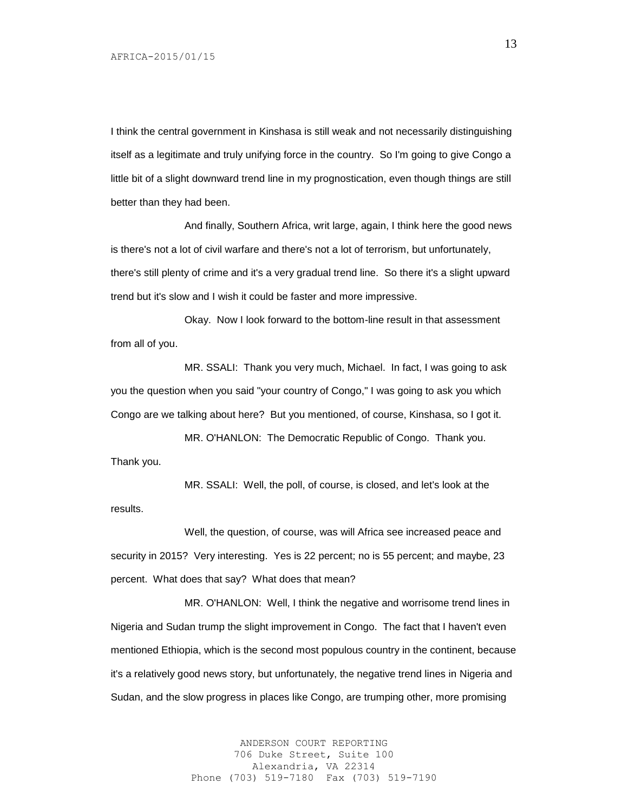I think the central government in Kinshasa is still weak and not necessarily distinguishing itself as a legitimate and truly unifying force in the country. So I'm going to give Congo a little bit of a slight downward trend line in my prognostication, even though things are still better than they had been.

And finally, Southern Africa, writ large, again, I think here the good news is there's not a lot of civil warfare and there's not a lot of terrorism, but unfortunately, there's still plenty of crime and it's a very gradual trend line. So there it's a slight upward trend but it's slow and I wish it could be faster and more impressive.

Okay. Now I look forward to the bottom-line result in that assessment from all of you.

MR. SSALI: Thank you very much, Michael. In fact, I was going to ask you the question when you said "your country of Congo," I was going to ask you which Congo are we talking about here? But you mentioned, of course, Kinshasa, so I got it.

MR. O'HANLON: The Democratic Republic of Congo. Thank you. Thank you.

MR. SSALI: Well, the poll, of course, is closed, and let's look at the results.

Well, the question, of course, was will Africa see increased peace and security in 2015? Very interesting. Yes is 22 percent; no is 55 percent; and maybe, 23 percent. What does that say? What does that mean?

MR. O'HANLON: Well, I think the negative and worrisome trend lines in Nigeria and Sudan trump the slight improvement in Congo. The fact that I haven't even mentioned Ethiopia, which is the second most populous country in the continent, because it's a relatively good news story, but unfortunately, the negative trend lines in Nigeria and Sudan, and the slow progress in places like Congo, are trumping other, more promising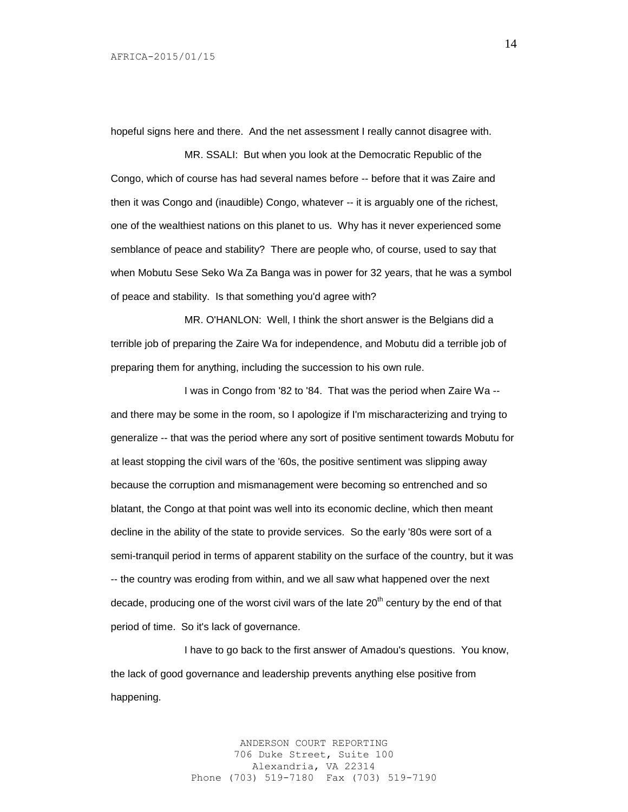hopeful signs here and there. And the net assessment I really cannot disagree with.

MR. SSALI: But when you look at the Democratic Republic of the Congo, which of course has had several names before -- before that it was Zaire and then it was Congo and (inaudible) Congo, whatever -- it is arguably one of the richest, one of the wealthiest nations on this planet to us. Why has it never experienced some semblance of peace and stability? There are people who, of course, used to say that when Mobutu Sese Seko Wa Za Banga was in power for 32 years, that he was a symbol of peace and stability. Is that something you'd agree with?

MR. O'HANLON: Well, I think the short answer is the Belgians did a terrible job of preparing the Zaire Wa for independence, and Mobutu did a terrible job of preparing them for anything, including the succession to his own rule.

I was in Congo from '82 to '84. That was the period when Zaire Wa - and there may be some in the room, so I apologize if I'm mischaracterizing and trying to generalize -- that was the period where any sort of positive sentiment towards Mobutu for at least stopping the civil wars of the '60s, the positive sentiment was slipping away because the corruption and mismanagement were becoming so entrenched and so blatant, the Congo at that point was well into its economic decline, which then meant decline in the ability of the state to provide services. So the early '80s were sort of a semi-tranquil period in terms of apparent stability on the surface of the country, but it was -- the country was eroding from within, and we all saw what happened over the next decade, producing one of the worst civil wars of the late  $20<sup>th</sup>$  century by the end of that period of time. So it's lack of governance.

I have to go back to the first answer of Amadou's questions. You know, the lack of good governance and leadership prevents anything else positive from happening.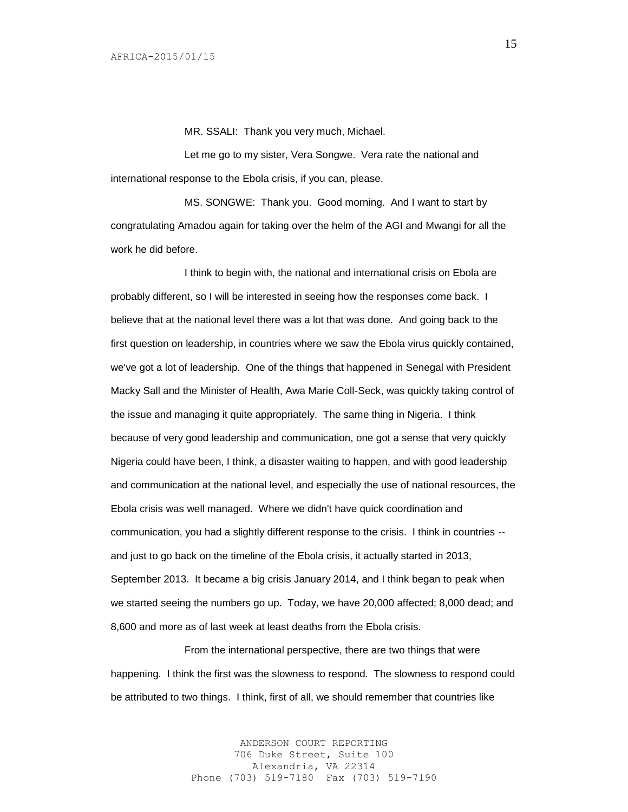MR. SSALI: Thank you very much, Michael.

Let me go to my sister, Vera Songwe. Vera rate the national and international response to the Ebola crisis, if you can, please.

MS. SONGWE: Thank you. Good morning. And I want to start by congratulating Amadou again for taking over the helm of the AGI and Mwangi for all the work he did before.

I think to begin with, the national and international crisis on Ebola are probably different, so I will be interested in seeing how the responses come back. I believe that at the national level there was a lot that was done. And going back to the first question on leadership, in countries where we saw the Ebola virus quickly contained, we've got a lot of leadership. One of the things that happened in Senegal with President Macky Sall and the Minister of Health, Awa Marie Coll-Seck, was quickly taking control of the issue and managing it quite appropriately. The same thing in Nigeria. I think because of very good leadership and communication, one got a sense that very quickly Nigeria could have been, I think, a disaster waiting to happen, and with good leadership and communication at the national level, and especially the use of national resources, the Ebola crisis was well managed. Where we didn't have quick coordination and communication, you had a slightly different response to the crisis. I think in countries - and just to go back on the timeline of the Ebola crisis, it actually started in 2013, September 2013. It became a big crisis January 2014, and I think began to peak when we started seeing the numbers go up. Today, we have 20,000 affected; 8,000 dead; and 8,600 and more as of last week at least deaths from the Ebola crisis.

From the international perspective, there are two things that were happening. I think the first was the slowness to respond. The slowness to respond could be attributed to two things. I think, first of all, we should remember that countries like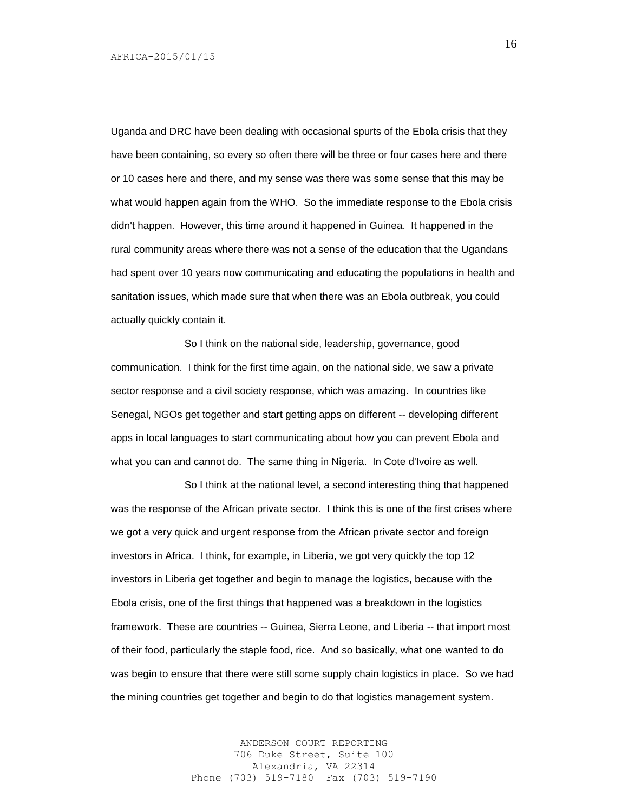Uganda and DRC have been dealing with occasional spurts of the Ebola crisis that they have been containing, so every so often there will be three or four cases here and there or 10 cases here and there, and my sense was there was some sense that this may be what would happen again from the WHO. So the immediate response to the Ebola crisis didn't happen. However, this time around it happened in Guinea. It happened in the rural community areas where there was not a sense of the education that the Ugandans had spent over 10 years now communicating and educating the populations in health and sanitation issues, which made sure that when there was an Ebola outbreak, you could actually quickly contain it.

So I think on the national side, leadership, governance, good communication. I think for the first time again, on the national side, we saw a private sector response and a civil society response, which was amazing. In countries like Senegal, NGOs get together and start getting apps on different -- developing different apps in local languages to start communicating about how you can prevent Ebola and what you can and cannot do. The same thing in Nigeria. In Cote d'Ivoire as well.

So I think at the national level, a second interesting thing that happened was the response of the African private sector. I think this is one of the first crises where we got a very quick and urgent response from the African private sector and foreign investors in Africa. I think, for example, in Liberia, we got very quickly the top 12 investors in Liberia get together and begin to manage the logistics, because with the Ebola crisis, one of the first things that happened was a breakdown in the logistics framework. These are countries -- Guinea, Sierra Leone, and Liberia -- that import most of their food, particularly the staple food, rice. And so basically, what one wanted to do was begin to ensure that there were still some supply chain logistics in place. So we had the mining countries get together and begin to do that logistics management system.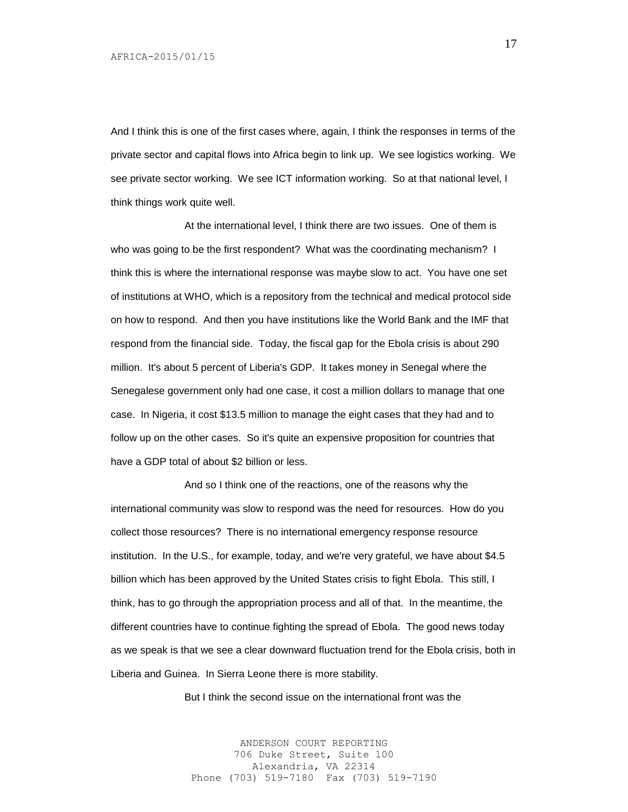And I think this is one of the first cases where, again, I think the responses in terms of the private sector and capital flows into Africa begin to link up. We see logistics working. We see private sector working. We see ICT information working. So at that national level, I think things work quite well.

At the international level, I think there are two issues. One of them is who was going to be the first respondent? What was the coordinating mechanism? I think this is where the international response was maybe slow to act. You have one set of institutions at WHO, which is a repository from the technical and medical protocol side on how to respond. And then you have institutions like the World Bank and the IMF that respond from the financial side. Today, the fiscal gap for the Ebola crisis is about 290 million. It's about 5 percent of Liberia's GDP. It takes money in Senegal where the Senegalese government only had one case, it cost a million dollars to manage that one case. In Nigeria, it cost \$13.5 million to manage the eight cases that they had and to follow up on the other cases. So it's quite an expensive proposition for countries that have a GDP total of about \$2 billion or less.

And so I think one of the reactions, one of the reasons why the international community was slow to respond was the need for resources. How do you collect those resources? There is no international emergency response resource institution. In the U.S., for example, today, and we're very grateful, we have about \$4.5 billion which has been approved by the United States crisis to fight Ebola. This still, I think, has to go through the appropriation process and all of that. In the meantime, the different countries have to continue fighting the spread of Ebola. The good news today as we speak is that we see a clear downward fluctuation trend for the Ebola crisis, both in Liberia and Guinea. In Sierra Leone there is more stability.

But I think the second issue on the international front was the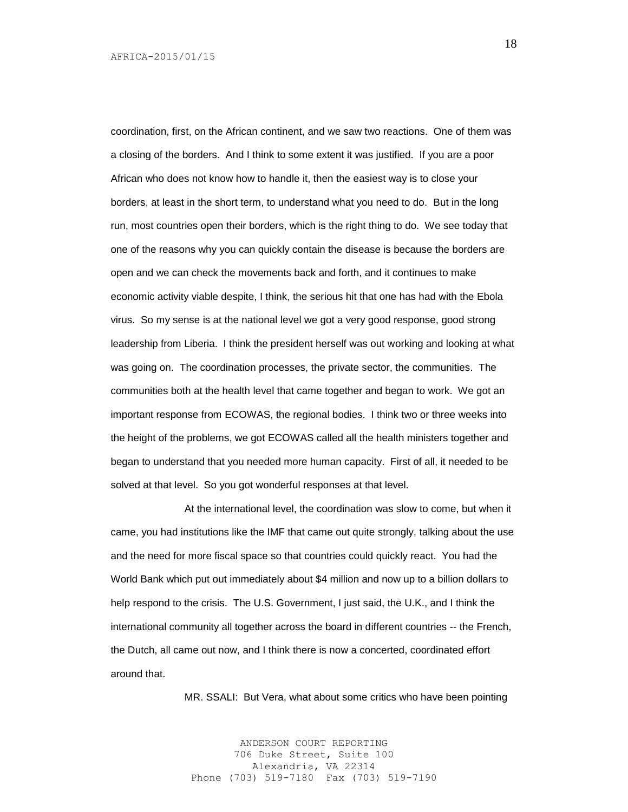coordination, first, on the African continent, and we saw two reactions. One of them was a closing of the borders. And I think to some extent it was justified. If you are a poor African who does not know how to handle it, then the easiest way is to close your borders, at least in the short term, to understand what you need to do. But in the long run, most countries open their borders, which is the right thing to do. We see today that one of the reasons why you can quickly contain the disease is because the borders are open and we can check the movements back and forth, and it continues to make economic activity viable despite, I think, the serious hit that one has had with the Ebola virus. So my sense is at the national level we got a very good response, good strong leadership from Liberia. I think the president herself was out working and looking at what was going on. The coordination processes, the private sector, the communities. The communities both at the health level that came together and began to work. We got an important response from ECOWAS, the regional bodies. I think two or three weeks into the height of the problems, we got ECOWAS called all the health ministers together and began to understand that you needed more human capacity. First of all, it needed to be solved at that level. So you got wonderful responses at that level.

At the international level, the coordination was slow to come, but when it came, you had institutions like the IMF that came out quite strongly, talking about the use and the need for more fiscal space so that countries could quickly react. You had the World Bank which put out immediately about \$4 million and now up to a billion dollars to help respond to the crisis. The U.S. Government, I just said, the U.K., and I think the international community all together across the board in different countries -- the French, the Dutch, all came out now, and I think there is now a concerted, coordinated effort around that.

MR. SSALI: But Vera, what about some critics who have been pointing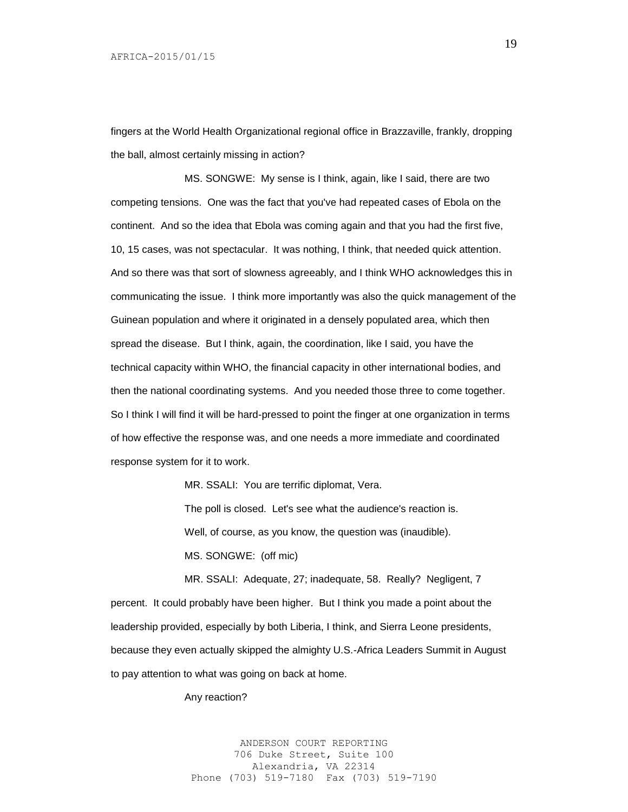fingers at the World Health Organizational regional office in Brazzaville, frankly, dropping the ball, almost certainly missing in action?

MS. SONGWE: My sense is I think, again, like I said, there are two competing tensions. One was the fact that you've had repeated cases of Ebola on the continent. And so the idea that Ebola was coming again and that you had the first five, 10, 15 cases, was not spectacular. It was nothing, I think, that needed quick attention. And so there was that sort of slowness agreeably, and I think WHO acknowledges this in communicating the issue. I think more importantly was also the quick management of the Guinean population and where it originated in a densely populated area, which then spread the disease. But I think, again, the coordination, like I said, you have the technical capacity within WHO, the financial capacity in other international bodies, and then the national coordinating systems. And you needed those three to come together. So I think I will find it will be hard-pressed to point the finger at one organization in terms of how effective the response was, and one needs a more immediate and coordinated response system for it to work.

> MR. SSALI: You are terrific diplomat, Vera. The poll is closed. Let's see what the audience's reaction is. Well, of course, as you know, the question was (inaudible). MS. SONGWE: (off mic)

MR. SSALI: Adequate, 27; inadequate, 58. Really? Negligent, 7 percent. It could probably have been higher. But I think you made a point about the leadership provided, especially by both Liberia, I think, and Sierra Leone presidents, because they even actually skipped the almighty U.S.-Africa Leaders Summit in August to pay attention to what was going on back at home.

#### Any reaction?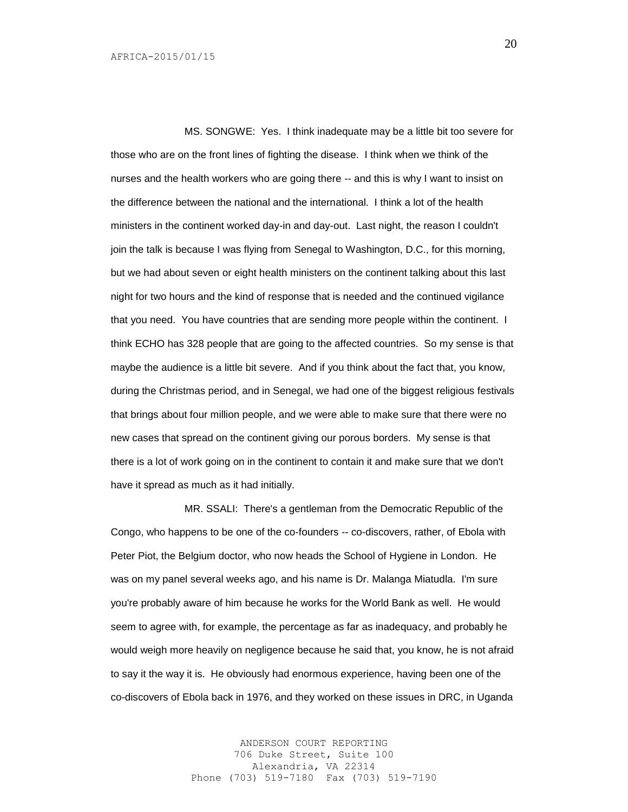MS. SONGWE: Yes. I think inadequate may be a little bit too severe for those who are on the front lines of fighting the disease. I think when we think of the nurses and the health workers who are going there -- and this is why I want to insist on the difference between the national and the international. I think a lot of the health ministers in the continent worked day-in and day-out. Last night, the reason I couldn't join the talk is because I was flying from Senegal to Washington, D.C., for this morning, but we had about seven or eight health ministers on the continent talking about this last night for two hours and the kind of response that is needed and the continued vigilance that you need. You have countries that are sending more people within the continent. I think ECHO has 328 people that are going to the affected countries. So my sense is that maybe the audience is a little bit severe. And if you think about the fact that, you know, during the Christmas period, and in Senegal, we had one of the biggest religious festivals that brings about four million people, and we were able to make sure that there were no new cases that spread on the continent giving our porous borders. My sense is that there is a lot of work going on in the continent to contain it and make sure that we don't have it spread as much as it had initially.

MR. SSALI: There's a gentleman from the Democratic Republic of the Congo, who happens to be one of the co-founders -- co-discovers, rather, of Ebola with Peter Piot, the Belgium doctor, who now heads the School of Hygiene in London. He was on my panel several weeks ago, and his name is Dr. Malanga Miatudla. I'm sure you're probably aware of him because he works for the World Bank as well. He would seem to agree with, for example, the percentage as far as inadequacy, and probably he would weigh more heavily on negligence because he said that, you know, he is not afraid to say it the way it is. He obviously had enormous experience, having been one of the co-discovers of Ebola back in 1976, and they worked on these issues in DRC, in Uganda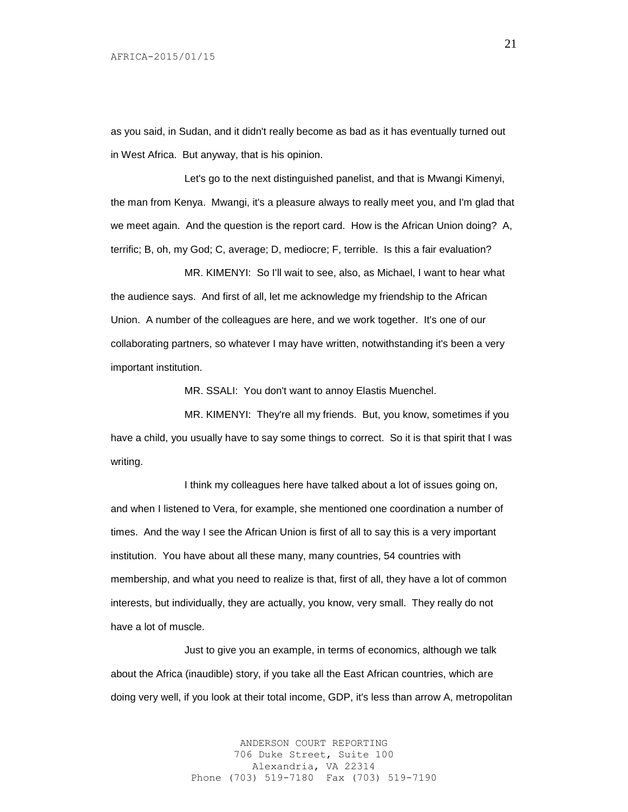as you said, in Sudan, and it didn't really become as bad as it has eventually turned out in West Africa. But anyway, that is his opinion.

Let's go to the next distinguished panelist, and that is Mwangi Kimenyi, the man from Kenya. Mwangi, it's a pleasure always to really meet you, and I'm glad that we meet again. And the question is the report card. How is the African Union doing? A, terrific; B, oh, my God; C, average; D, mediocre; F, terrible. Is this a fair evaluation?

MR. KIMENYI: So I'll wait to see, also, as Michael, I want to hear what the audience says. And first of all, let me acknowledge my friendship to the African Union. A number of the colleagues are here, and we work together. It's one of our collaborating partners, so whatever I may have written, notwithstanding it's been a very important institution.

MR. SSALI: You don't want to annoy Elastis Muenchel.

MR. KIMENYI: They're all my friends. But, you know, sometimes if you have a child, you usually have to say some things to correct. So it is that spirit that I was writing.

I think my colleagues here have talked about a lot of issues going on, and when I listened to Vera, for example, she mentioned one coordination a number of times. And the way I see the African Union is first of all to say this is a very important institution. You have about all these many, many countries, 54 countries with membership, and what you need to realize is that, first of all, they have a lot of common interests, but individually, they are actually, you know, very small. They really do not have a lot of muscle.

Just to give you an example, in terms of economics, although we talk about the Africa (inaudible) story, if you take all the East African countries, which are doing very well, if you look at their total income, GDP, it's less than arrow A, metropolitan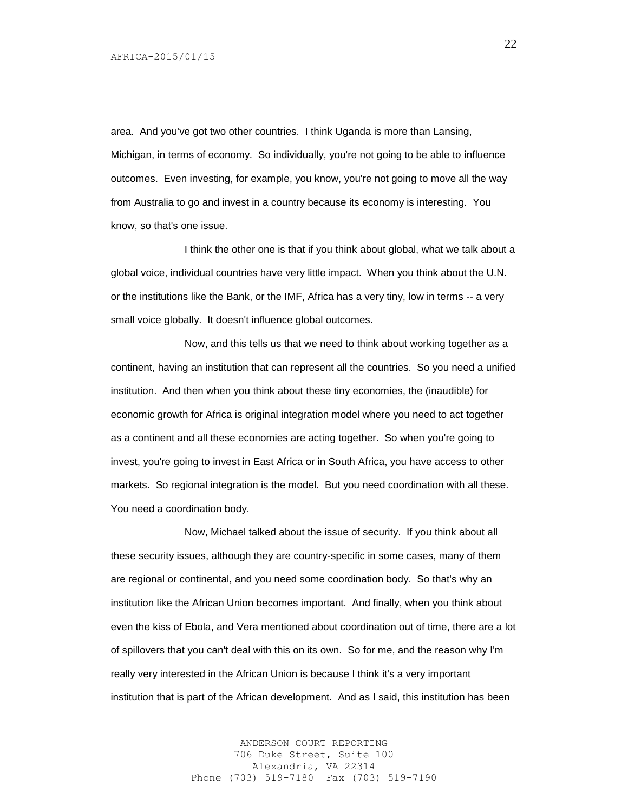area. And you've got two other countries. I think Uganda is more than Lansing, Michigan, in terms of economy. So individually, you're not going to be able to influence outcomes. Even investing, for example, you know, you're not going to move all the way from Australia to go and invest in a country because its economy is interesting. You know, so that's one issue.

I think the other one is that if you think about global, what we talk about a global voice, individual countries have very little impact. When you think about the U.N. or the institutions like the Bank, or the IMF, Africa has a very tiny, low in terms -- a very small voice globally. It doesn't influence global outcomes.

Now, and this tells us that we need to think about working together as a continent, having an institution that can represent all the countries. So you need a unified institution. And then when you think about these tiny economies, the (inaudible) for economic growth for Africa is original integration model where you need to act together as a continent and all these economies are acting together. So when you're going to invest, you're going to invest in East Africa or in South Africa, you have access to other markets. So regional integration is the model. But you need coordination with all these. You need a coordination body.

Now, Michael talked about the issue of security. If you think about all these security issues, although they are country-specific in some cases, many of them are regional or continental, and you need some coordination body. So that's why an institution like the African Union becomes important. And finally, when you think about even the kiss of Ebola, and Vera mentioned about coordination out of time, there are a lot of spillovers that you can't deal with this on its own. So for me, and the reason why I'm really very interested in the African Union is because I think it's a very important institution that is part of the African development. And as I said, this institution has been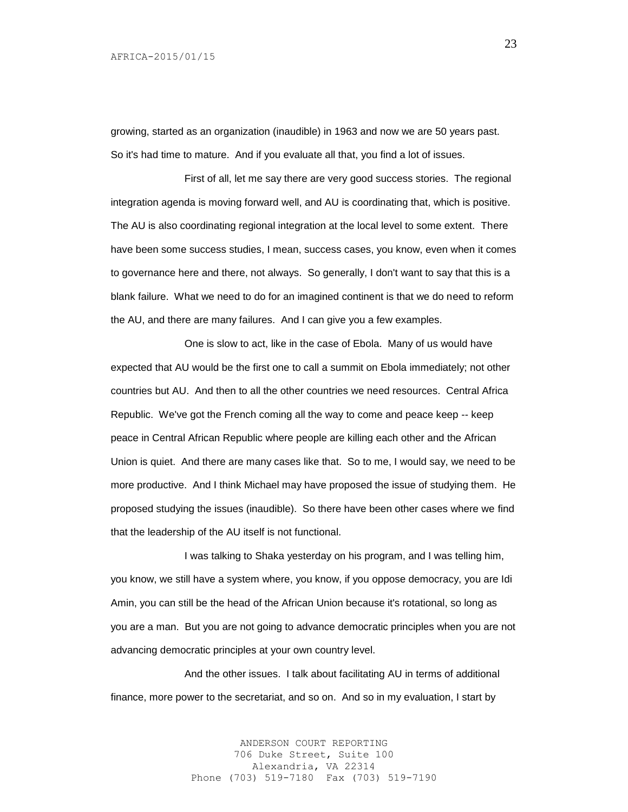growing, started as an organization (inaudible) in 1963 and now we are 50 years past. So it's had time to mature. And if you evaluate all that, you find a lot of issues.

First of all, let me say there are very good success stories. The regional integration agenda is moving forward well, and AU is coordinating that, which is positive. The AU is also coordinating regional integration at the local level to some extent. There have been some success studies, I mean, success cases, you know, even when it comes to governance here and there, not always. So generally, I don't want to say that this is a blank failure. What we need to do for an imagined continent is that we do need to reform the AU, and there are many failures. And I can give you a few examples.

One is slow to act, like in the case of Ebola. Many of us would have expected that AU would be the first one to call a summit on Ebola immediately; not other countries but AU. And then to all the other countries we need resources. Central Africa Republic. We've got the French coming all the way to come and peace keep -- keep peace in Central African Republic where people are killing each other and the African Union is quiet. And there are many cases like that. So to me, I would say, we need to be more productive. And I think Michael may have proposed the issue of studying them. He proposed studying the issues (inaudible). So there have been other cases where we find that the leadership of the AU itself is not functional.

I was talking to Shaka yesterday on his program, and I was telling him, you know, we still have a system where, you know, if you oppose democracy, you are Idi Amin, you can still be the head of the African Union because it's rotational, so long as you are a man. But you are not going to advance democratic principles when you are not advancing democratic principles at your own country level.

And the other issues. I talk about facilitating AU in terms of additional finance, more power to the secretariat, and so on. And so in my evaluation, I start by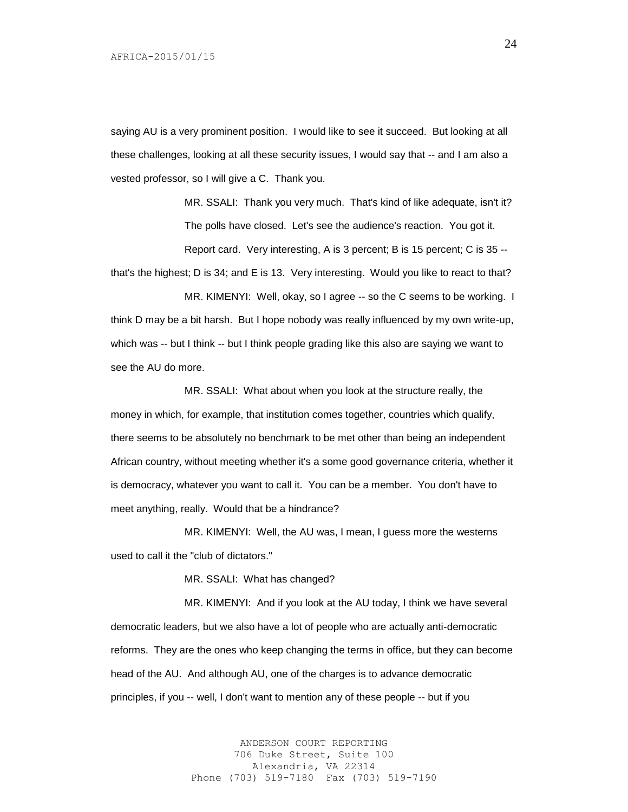saying AU is a very prominent position. I would like to see it succeed. But looking at all these challenges, looking at all these security issues, I would say that -- and I am also a vested professor, so I will give a C. Thank you.

> MR. SSALI: Thank you very much. That's kind of like adequate, isn't it? The polls have closed. Let's see the audience's reaction. You got it. Report card. Very interesting, A is 3 percent; B is 15 percent; C is 35 --

that's the highest; D is 34; and E is 13. Very interesting. Would you like to react to that?

MR. KIMENYI: Well, okay, so I agree -- so the C seems to be working. I think D may be a bit harsh. But I hope nobody was really influenced by my own write-up, which was -- but I think -- but I think people grading like this also are saying we want to see the AU do more.

MR. SSALI: What about when you look at the structure really, the money in which, for example, that institution comes together, countries which qualify, there seems to be absolutely no benchmark to be met other than being an independent African country, without meeting whether it's a some good governance criteria, whether it is democracy, whatever you want to call it. You can be a member. You don't have to meet anything, really. Would that be a hindrance?

MR. KIMENYI: Well, the AU was, I mean, I guess more the westerns used to call it the "club of dictators."

MR. SSALI: What has changed?

MR. KIMENYI: And if you look at the AU today, I think we have several democratic leaders, but we also have a lot of people who are actually anti-democratic reforms. They are the ones who keep changing the terms in office, but they can become head of the AU. And although AU, one of the charges is to advance democratic principles, if you -- well, I don't want to mention any of these people -- but if you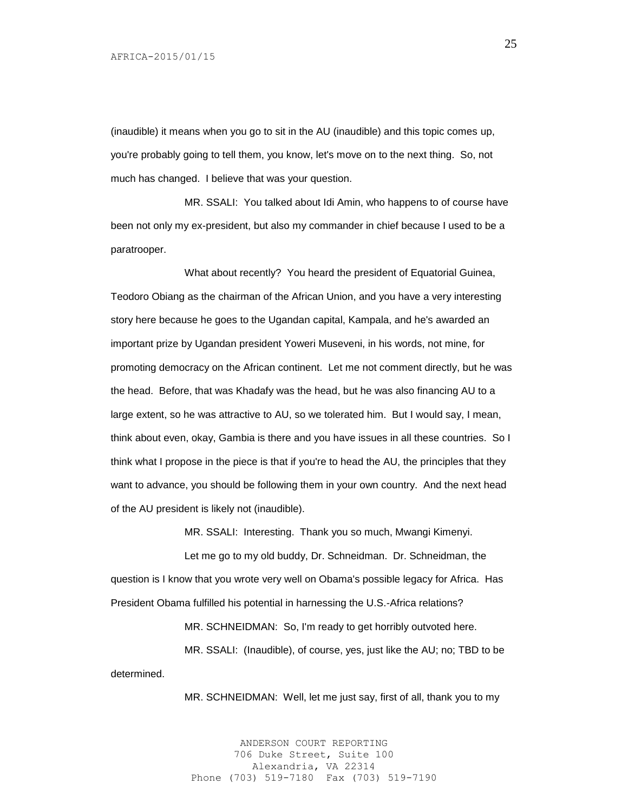(inaudible) it means when you go to sit in the AU (inaudible) and this topic comes up, you're probably going to tell them, you know, let's move on to the next thing. So, not much has changed. I believe that was your question.

MR. SSALI: You talked about Idi Amin, who happens to of course have been not only my ex-president, but also my commander in chief because I used to be a paratrooper.

What about recently? You heard the president of Equatorial Guinea, Teodoro Obiang as the chairman of the African Union, and you have a very interesting story here because he goes to the Ugandan capital, Kampala, and he's awarded an important prize by Ugandan president Yoweri Museveni, in his words, not mine, for promoting democracy on the African continent. Let me not comment directly, but he was the head. Before, that was Khadafy was the head, but he was also financing AU to a large extent, so he was attractive to AU, so we tolerated him. But I would say, I mean, think about even, okay, Gambia is there and you have issues in all these countries. So I think what I propose in the piece is that if you're to head the AU, the principles that they want to advance, you should be following them in your own country. And the next head of the AU president is likely not (inaudible).

MR. SSALI: Interesting. Thank you so much, Mwangi Kimenyi.

Let me go to my old buddy, Dr. Schneidman. Dr. Schneidman, the question is I know that you wrote very well on Obama's possible legacy for Africa. Has President Obama fulfilled his potential in harnessing the U.S.-Africa relations?

MR. SCHNEIDMAN: So, I'm ready to get horribly outvoted here.

MR. SSALI: (Inaudible), of course, yes, just like the AU; no; TBD to be determined.

MR. SCHNEIDMAN: Well, let me just say, first of all, thank you to my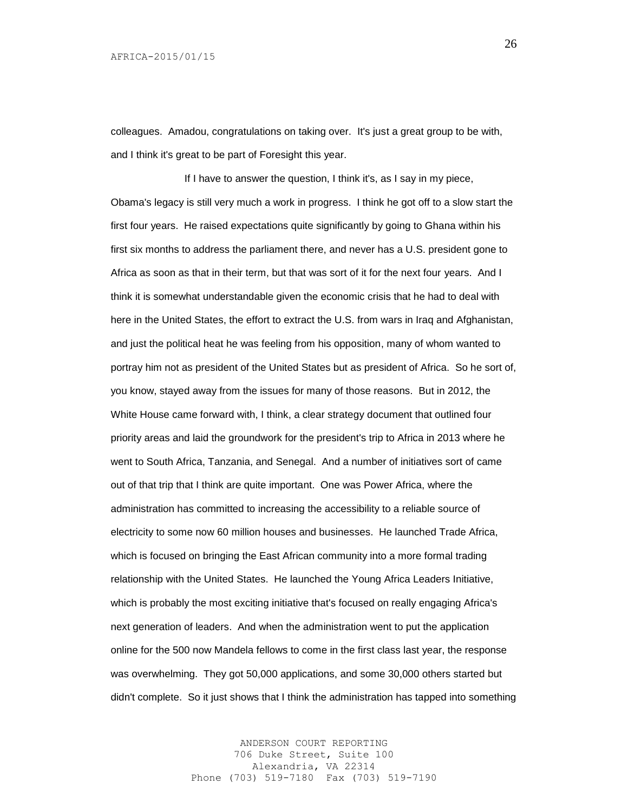colleagues. Amadou, congratulations on taking over. It's just a great group to be with, and I think it's great to be part of Foresight this year.

If I have to answer the question, I think it's, as I say in my piece, Obama's legacy is still very much a work in progress. I think he got off to a slow start the first four years. He raised expectations quite significantly by going to Ghana within his first six months to address the parliament there, and never has a U.S. president gone to Africa as soon as that in their term, but that was sort of it for the next four years. And I think it is somewhat understandable given the economic crisis that he had to deal with here in the United States, the effort to extract the U.S. from wars in Iraq and Afghanistan, and just the political heat he was feeling from his opposition, many of whom wanted to portray him not as president of the United States but as president of Africa. So he sort of, you know, stayed away from the issues for many of those reasons. But in 2012, the White House came forward with, I think, a clear strategy document that outlined four priority areas and laid the groundwork for the president's trip to Africa in 2013 where he went to South Africa, Tanzania, and Senegal. And a number of initiatives sort of came out of that trip that I think are quite important. One was Power Africa, where the administration has committed to increasing the accessibility to a reliable source of electricity to some now 60 million houses and businesses. He launched Trade Africa, which is focused on bringing the East African community into a more formal trading relationship with the United States. He launched the Young Africa Leaders Initiative, which is probably the most exciting initiative that's focused on really engaging Africa's next generation of leaders. And when the administration went to put the application online for the 500 now Mandela fellows to come in the first class last year, the response was overwhelming. They got 50,000 applications, and some 30,000 others started but didn't complete. So it just shows that I think the administration has tapped into something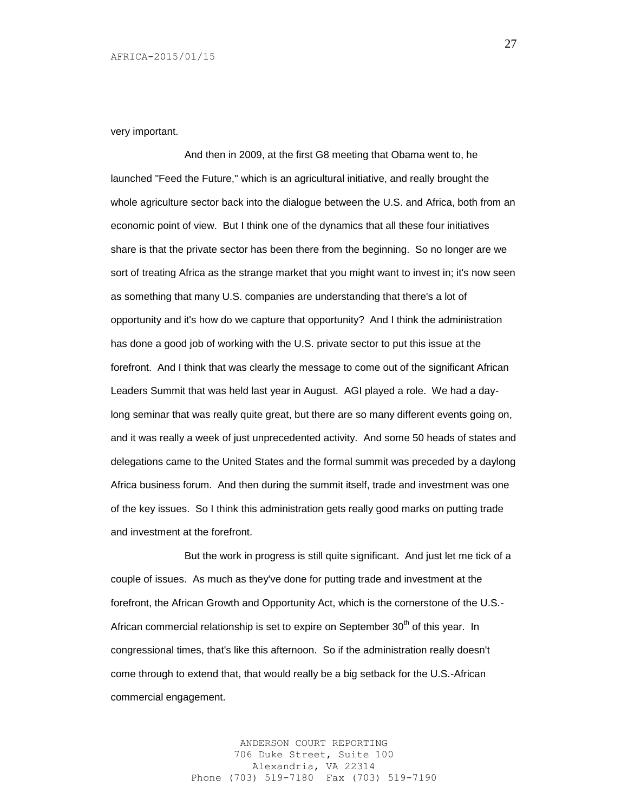#### very important.

And then in 2009, at the first G8 meeting that Obama went to, he launched "Feed the Future," which is an agricultural initiative, and really brought the whole agriculture sector back into the dialogue between the U.S. and Africa, both from an economic point of view. But I think one of the dynamics that all these four initiatives share is that the private sector has been there from the beginning. So no longer are we sort of treating Africa as the strange market that you might want to invest in; it's now seen as something that many U.S. companies are understanding that there's a lot of opportunity and it's how do we capture that opportunity? And I think the administration has done a good job of working with the U.S. private sector to put this issue at the forefront. And I think that was clearly the message to come out of the significant African Leaders Summit that was held last year in August. AGI played a role. We had a daylong seminar that was really quite great, but there are so many different events going on, and it was really a week of just unprecedented activity. And some 50 heads of states and delegations came to the United States and the formal summit was preceded by a daylong Africa business forum. And then during the summit itself, trade and investment was one of the key issues. So I think this administration gets really good marks on putting trade and investment at the forefront.

But the work in progress is still quite significant. And just let me tick of a couple of issues. As much as they've done for putting trade and investment at the forefront, the African Growth and Opportunity Act, which is the cornerstone of the U.S.- African commercial relationship is set to expire on September  $30<sup>th</sup>$  of this year. In congressional times, that's like this afternoon. So if the administration really doesn't come through to extend that, that would really be a big setback for the U.S.-African commercial engagement.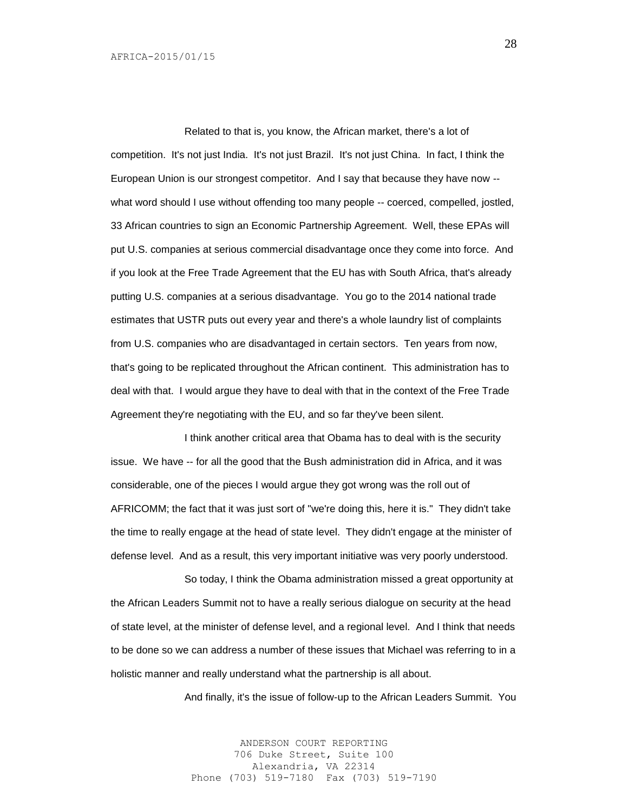Related to that is, you know, the African market, there's a lot of competition. It's not just India. It's not just Brazil. It's not just China. In fact, I think the European Union is our strongest competitor. And I say that because they have now - what word should I use without offending too many people -- coerced, compelled, jostled, 33 African countries to sign an Economic Partnership Agreement. Well, these EPAs will put U.S. companies at serious commercial disadvantage once they come into force. And if you look at the Free Trade Agreement that the EU has with South Africa, that's already putting U.S. companies at a serious disadvantage. You go to the 2014 national trade estimates that USTR puts out every year and there's a whole laundry list of complaints from U.S. companies who are disadvantaged in certain sectors. Ten years from now, that's going to be replicated throughout the African continent. This administration has to deal with that. I would argue they have to deal with that in the context of the Free Trade Agreement they're negotiating with the EU, and so far they've been silent.

I think another critical area that Obama has to deal with is the security issue. We have -- for all the good that the Bush administration did in Africa, and it was considerable, one of the pieces I would argue they got wrong was the roll out of AFRICOMM; the fact that it was just sort of "we're doing this, here it is." They didn't take the time to really engage at the head of state level. They didn't engage at the minister of defense level. And as a result, this very important initiative was very poorly understood.

So today, I think the Obama administration missed a great opportunity at the African Leaders Summit not to have a really serious dialogue on security at the head of state level, at the minister of defense level, and a regional level. And I think that needs to be done so we can address a number of these issues that Michael was referring to in a holistic manner and really understand what the partnership is all about.

And finally, it's the issue of follow-up to the African Leaders Summit. You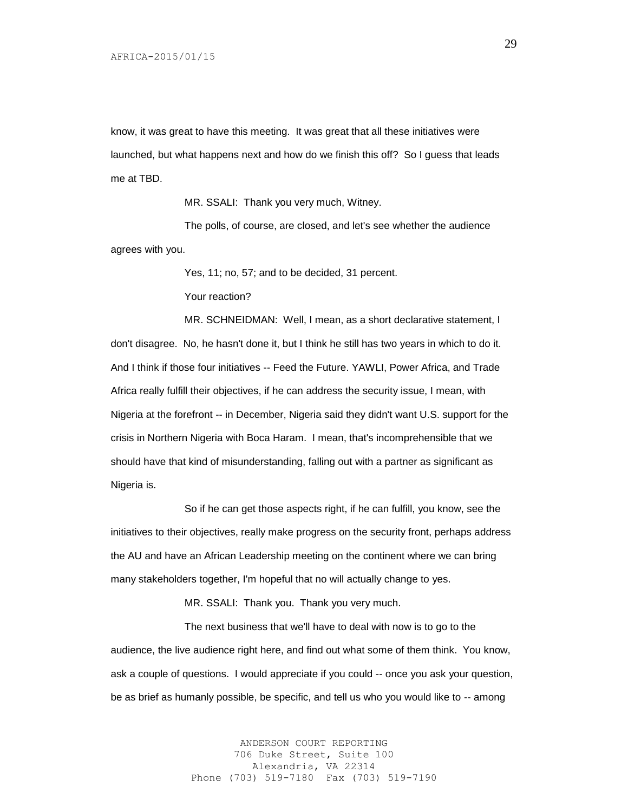know, it was great to have this meeting. It was great that all these initiatives were launched, but what happens next and how do we finish this off? So I guess that leads me at TBD.

MR. SSALI: Thank you very much, Witney.

The polls, of course, are closed, and let's see whether the audience agrees with you.

Yes, 11; no, 57; and to be decided, 31 percent.

Your reaction?

MR. SCHNEIDMAN: Well, I mean, as a short declarative statement, I don't disagree. No, he hasn't done it, but I think he still has two years in which to do it. And I think if those four initiatives -- Feed the Future. YAWLI, Power Africa, and Trade Africa really fulfill their objectives, if he can address the security issue, I mean, with Nigeria at the forefront -- in December, Nigeria said they didn't want U.S. support for the crisis in Northern Nigeria with Boca Haram. I mean, that's incomprehensible that we should have that kind of misunderstanding, falling out with a partner as significant as Nigeria is.

So if he can get those aspects right, if he can fulfill, you know, see the initiatives to their objectives, really make progress on the security front, perhaps address the AU and have an African Leadership meeting on the continent where we can bring many stakeholders together, I'm hopeful that no will actually change to yes.

MR. SSALI: Thank you. Thank you very much.

The next business that we'll have to deal with now is to go to the audience, the live audience right here, and find out what some of them think. You know, ask a couple of questions. I would appreciate if you could -- once you ask your question, be as brief as humanly possible, be specific, and tell us who you would like to -- among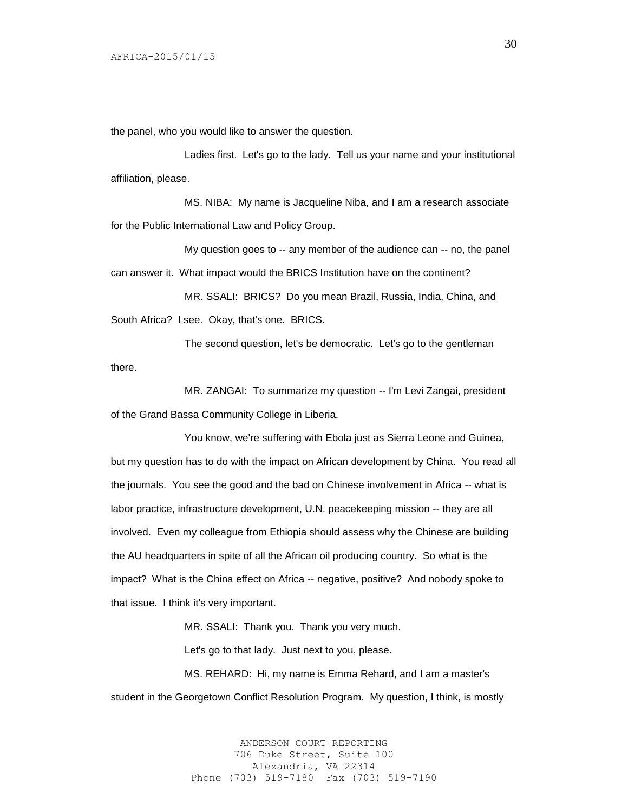the panel, who you would like to answer the question.

Ladies first. Let's go to the lady. Tell us your name and your institutional affiliation, please.

MS. NIBA: My name is Jacqueline Niba, and I am a research associate for the Public International Law and Policy Group.

My question goes to -- any member of the audience can -- no, the panel can answer it. What impact would the BRICS Institution have on the continent?

MR. SSALI: BRICS? Do you mean Brazil, Russia, India, China, and South Africa? I see. Okay, that's one. BRICS.

The second question, let's be democratic. Let's go to the gentleman there.

MR. ZANGAI: To summarize my question -- I'm Levi Zangai, president of the Grand Bassa Community College in Liberia.

You know, we're suffering with Ebola just as Sierra Leone and Guinea, but my question has to do with the impact on African development by China. You read all the journals. You see the good and the bad on Chinese involvement in Africa -- what is labor practice, infrastructure development, U.N. peacekeeping mission -- they are all involved. Even my colleague from Ethiopia should assess why the Chinese are building the AU headquarters in spite of all the African oil producing country. So what is the impact? What is the China effect on Africa -- negative, positive? And nobody spoke to that issue. I think it's very important.

MR. SSALI: Thank you. Thank you very much.

Let's go to that lady. Just next to you, please.

MS. REHARD: Hi, my name is Emma Rehard, and I am a master's student in the Georgetown Conflict Resolution Program. My question, I think, is mostly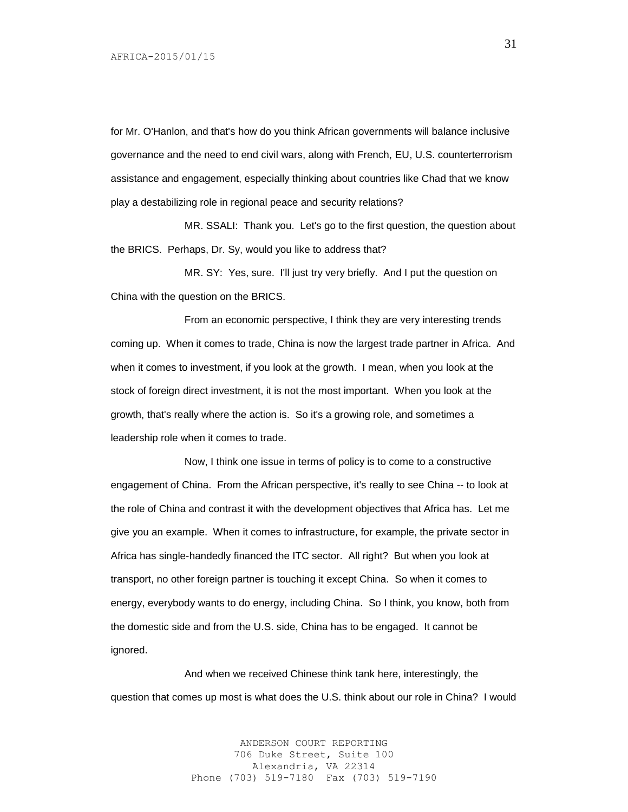for Mr. O'Hanlon, and that's how do you think African governments will balance inclusive governance and the need to end civil wars, along with French, EU, U.S. counterterrorism assistance and engagement, especially thinking about countries like Chad that we know play a destabilizing role in regional peace and security relations?

MR. SSALI: Thank you. Let's go to the first question, the question about the BRICS. Perhaps, Dr. Sy, would you like to address that?

MR. SY: Yes, sure. I'll just try very briefly. And I put the question on China with the question on the BRICS.

From an economic perspective, I think they are very interesting trends coming up. When it comes to trade, China is now the largest trade partner in Africa. And when it comes to investment, if you look at the growth. I mean, when you look at the stock of foreign direct investment, it is not the most important. When you look at the growth, that's really where the action is. So it's a growing role, and sometimes a leadership role when it comes to trade.

Now, I think one issue in terms of policy is to come to a constructive engagement of China. From the African perspective, it's really to see China -- to look at the role of China and contrast it with the development objectives that Africa has. Let me give you an example. When it comes to infrastructure, for example, the private sector in Africa has single-handedly financed the ITC sector. All right? But when you look at transport, no other foreign partner is touching it except China. So when it comes to energy, everybody wants to do energy, including China. So I think, you know, both from the domestic side and from the U.S. side, China has to be engaged. It cannot be ignored.

And when we received Chinese think tank here, interestingly, the question that comes up most is what does the U.S. think about our role in China? I would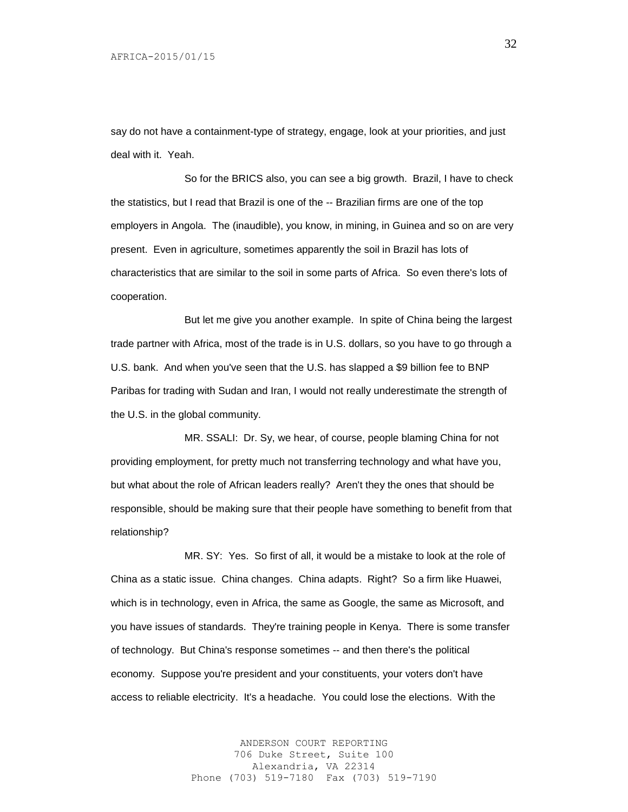say do not have a containment-type of strategy, engage, look at your priorities, and just deal with it. Yeah.

So for the BRICS also, you can see a big growth. Brazil, I have to check the statistics, but I read that Brazil is one of the -- Brazilian firms are one of the top employers in Angola. The (inaudible), you know, in mining, in Guinea and so on are very present. Even in agriculture, sometimes apparently the soil in Brazil has lots of characteristics that are similar to the soil in some parts of Africa. So even there's lots of cooperation.

But let me give you another example. In spite of China being the largest trade partner with Africa, most of the trade is in U.S. dollars, so you have to go through a U.S. bank. And when you've seen that the U.S. has slapped a \$9 billion fee to BNP Paribas for trading with Sudan and Iran, I would not really underestimate the strength of the U.S. in the global community.

MR. SSALI: Dr. Sy, we hear, of course, people blaming China for not providing employment, for pretty much not transferring technology and what have you, but what about the role of African leaders really? Aren't they the ones that should be responsible, should be making sure that their people have something to benefit from that relationship?

MR. SY: Yes. So first of all, it would be a mistake to look at the role of China as a static issue. China changes. China adapts. Right? So a firm like Huawei, which is in technology, even in Africa, the same as Google, the same as Microsoft, and you have issues of standards. They're training people in Kenya. There is some transfer of technology. But China's response sometimes -- and then there's the political economy. Suppose you're president and your constituents, your voters don't have access to reliable electricity. It's a headache. You could lose the elections. With the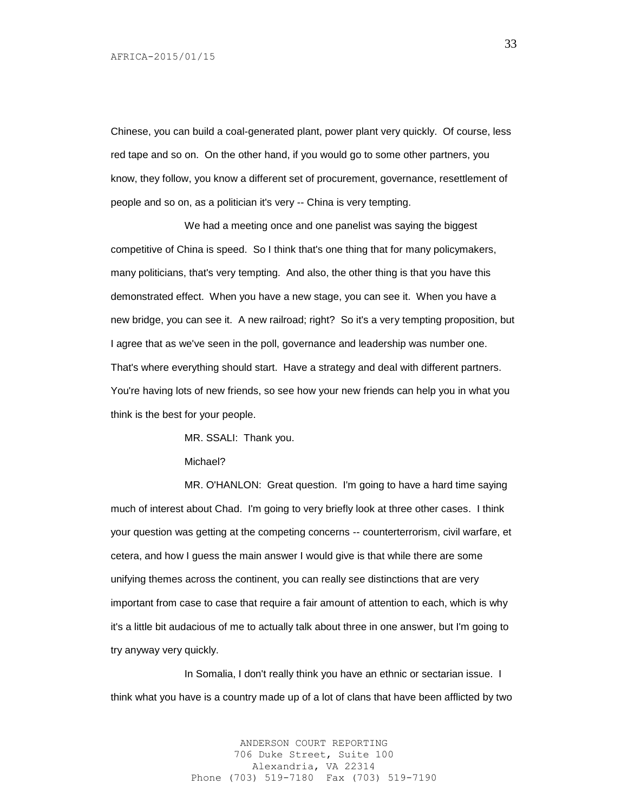Chinese, you can build a coal-generated plant, power plant very quickly. Of course, less red tape and so on. On the other hand, if you would go to some other partners, you know, they follow, you know a different set of procurement, governance, resettlement of people and so on, as a politician it's very -- China is very tempting.

We had a meeting once and one panelist was saying the biggest competitive of China is speed. So I think that's one thing that for many policymakers, many politicians, that's very tempting. And also, the other thing is that you have this demonstrated effect. When you have a new stage, you can see it. When you have a new bridge, you can see it. A new railroad; right? So it's a very tempting proposition, but I agree that as we've seen in the poll, governance and leadership was number one. That's where everything should start. Have a strategy and deal with different partners. You're having lots of new friends, so see how your new friends can help you in what you think is the best for your people.

MR. SSALI: Thank you.

Michael?

MR. O'HANLON: Great question. I'm going to have a hard time saying much of interest about Chad. I'm going to very briefly look at three other cases. I think your question was getting at the competing concerns -- counterterrorism, civil warfare, et cetera, and how I guess the main answer I would give is that while there are some unifying themes across the continent, you can really see distinctions that are very important from case to case that require a fair amount of attention to each, which is why it's a little bit audacious of me to actually talk about three in one answer, but I'm going to try anyway very quickly.

In Somalia, I don't really think you have an ethnic or sectarian issue. I think what you have is a country made up of a lot of clans that have been afflicted by two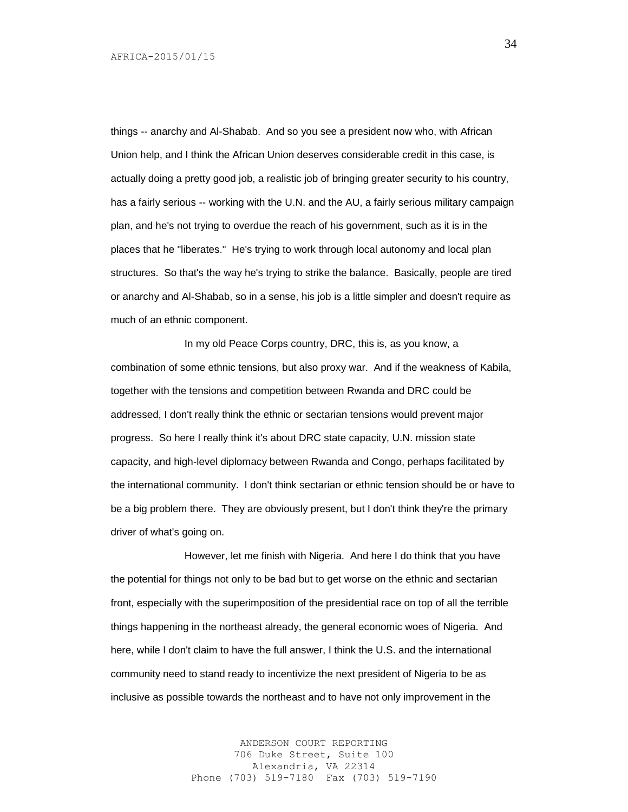things -- anarchy and Al-Shabab. And so you see a president now who, with African Union help, and I think the African Union deserves considerable credit in this case, is actually doing a pretty good job, a realistic job of bringing greater security to his country, has a fairly serious -- working with the U.N. and the AU, a fairly serious military campaign plan, and he's not trying to overdue the reach of his government, such as it is in the places that he "liberates." He's trying to work through local autonomy and local plan structures. So that's the way he's trying to strike the balance. Basically, people are tired or anarchy and Al-Shabab, so in a sense, his job is a little simpler and doesn't require as much of an ethnic component.

In my old Peace Corps country, DRC, this is, as you know, a combination of some ethnic tensions, but also proxy war. And if the weakness of Kabila, together with the tensions and competition between Rwanda and DRC could be addressed, I don't really think the ethnic or sectarian tensions would prevent major progress. So here I really think it's about DRC state capacity, U.N. mission state capacity, and high-level diplomacy between Rwanda and Congo, perhaps facilitated by the international community. I don't think sectarian or ethnic tension should be or have to be a big problem there. They are obviously present, but I don't think they're the primary driver of what's going on.

However, let me finish with Nigeria. And here I do think that you have the potential for things not only to be bad but to get worse on the ethnic and sectarian front, especially with the superimposition of the presidential race on top of all the terrible things happening in the northeast already, the general economic woes of Nigeria. And here, while I don't claim to have the full answer, I think the U.S. and the international community need to stand ready to incentivize the next president of Nigeria to be as inclusive as possible towards the northeast and to have not only improvement in the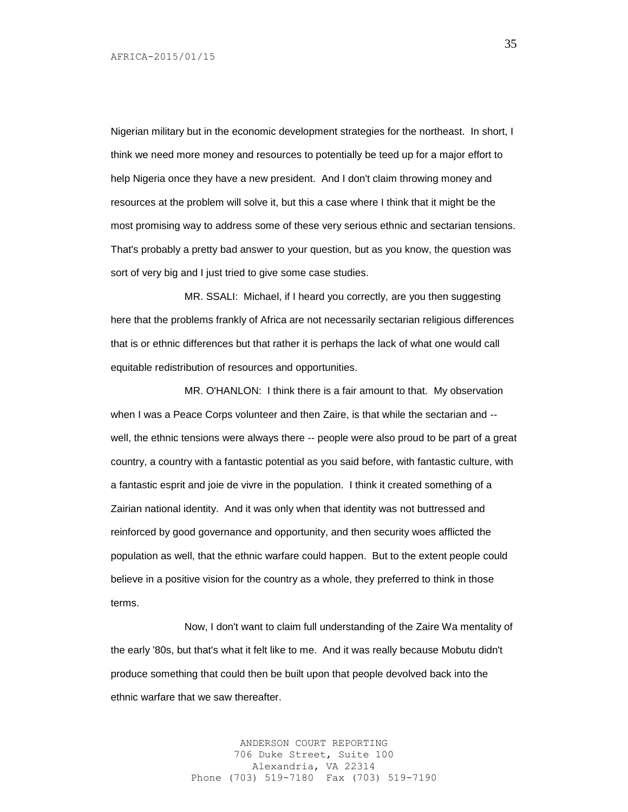Nigerian military but in the economic development strategies for the northeast. In short, I think we need more money and resources to potentially be teed up for a major effort to help Nigeria once they have a new president. And I don't claim throwing money and resources at the problem will solve it, but this a case where I think that it might be the most promising way to address some of these very serious ethnic and sectarian tensions. That's probably a pretty bad answer to your question, but as you know, the question was sort of very big and I just tried to give some case studies.

MR. SSALI: Michael, if I heard you correctly, are you then suggesting here that the problems frankly of Africa are not necessarily sectarian religious differences that is or ethnic differences but that rather it is perhaps the lack of what one would call equitable redistribution of resources and opportunities.

MR. O'HANLON: I think there is a fair amount to that. My observation when I was a Peace Corps volunteer and then Zaire, is that while the sectarian and - well, the ethnic tensions were always there -- people were also proud to be part of a great country, a country with a fantastic potential as you said before, with fantastic culture, with a fantastic esprit and joie de vivre in the population. I think it created something of a Zairian national identity. And it was only when that identity was not buttressed and reinforced by good governance and opportunity, and then security woes afflicted the population as well, that the ethnic warfare could happen. But to the extent people could believe in a positive vision for the country as a whole, they preferred to think in those terms.

Now, I don't want to claim full understanding of the Zaire Wa mentality of the early '80s, but that's what it felt like to me. And it was really because Mobutu didn't produce something that could then be built upon that people devolved back into the ethnic warfare that we saw thereafter.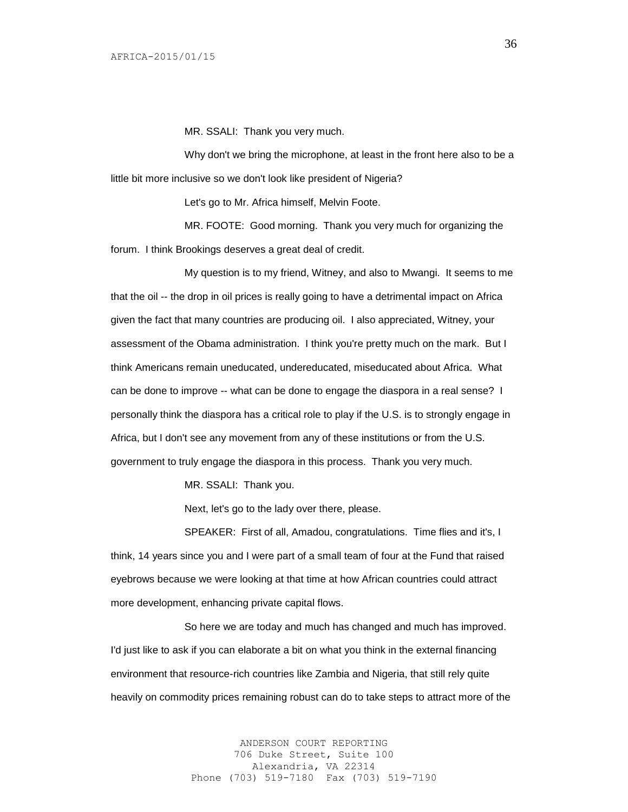MR. SSALI: Thank you very much.

Why don't we bring the microphone, at least in the front here also to be a little bit more inclusive so we don't look like president of Nigeria?

Let's go to Mr. Africa himself, Melvin Foote.

MR. FOOTE: Good morning. Thank you very much for organizing the forum. I think Brookings deserves a great deal of credit.

My question is to my friend, Witney, and also to Mwangi. It seems to me that the oil -- the drop in oil prices is really going to have a detrimental impact on Africa given the fact that many countries are producing oil. I also appreciated, Witney, your assessment of the Obama administration. I think you're pretty much on the mark. But I think Americans remain uneducated, undereducated, miseducated about Africa. What can be done to improve -- what can be done to engage the diaspora in a real sense? I personally think the diaspora has a critical role to play if the U.S. is to strongly engage in Africa, but I don't see any movement from any of these institutions or from the U.S. government to truly engage the diaspora in this process. Thank you very much.

MR. SSALI: Thank you.

Next, let's go to the lady over there, please.

SPEAKER: First of all, Amadou, congratulations. Time flies and it's, I think, 14 years since you and I were part of a small team of four at the Fund that raised eyebrows because we were looking at that time at how African countries could attract more development, enhancing private capital flows.

So here we are today and much has changed and much has improved. I'd just like to ask if you can elaborate a bit on what you think in the external financing environment that resource-rich countries like Zambia and Nigeria, that still rely quite heavily on commodity prices remaining robust can do to take steps to attract more of the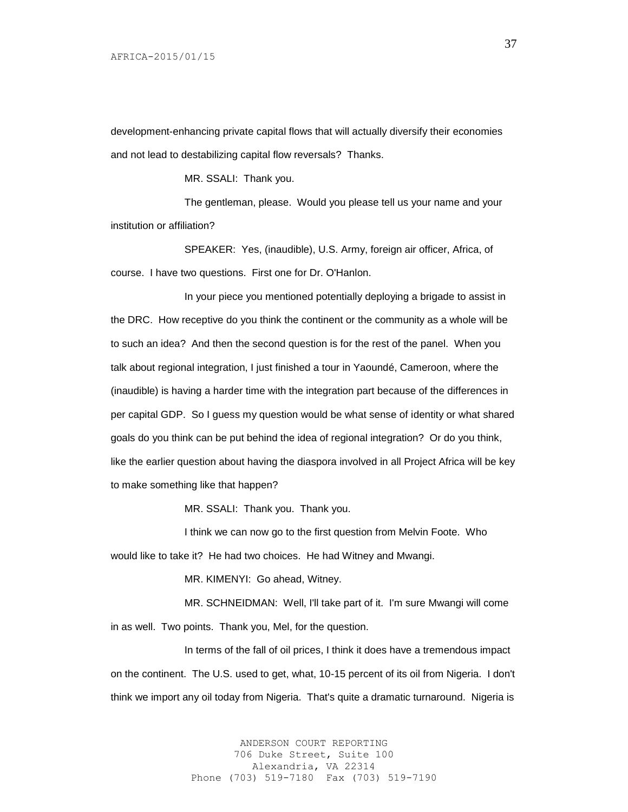development-enhancing private capital flows that will actually diversify their economies and not lead to destabilizing capital flow reversals? Thanks.

MR. SSALI: Thank you.

The gentleman, please. Would you please tell us your name and your institution or affiliation?

SPEAKER: Yes, (inaudible), U.S. Army, foreign air officer, Africa, of course. I have two questions. First one for Dr. O'Hanlon.

In your piece you mentioned potentially deploying a brigade to assist in the DRC. How receptive do you think the continent or the community as a whole will be to such an idea? And then the second question is for the rest of the panel. When you talk about regional integration, I just finished a tour in Yaoundé, Cameroon, where the (inaudible) is having a harder time with the integration part because of the differences in per capital GDP. So I guess my question would be what sense of identity or what shared goals do you think can be put behind the idea of regional integration? Or do you think, like the earlier question about having the diaspora involved in all Project Africa will be key to make something like that happen?

MR. SSALI: Thank you. Thank you.

I think we can now go to the first question from Melvin Foote. Who would like to take it? He had two choices. He had Witney and Mwangi.

MR. KIMENYI: Go ahead, Witney.

MR. SCHNEIDMAN: Well, I'll take part of it. I'm sure Mwangi will come in as well. Two points. Thank you, Mel, for the question.

In terms of the fall of oil prices, I think it does have a tremendous impact on the continent. The U.S. used to get, what, 10-15 percent of its oil from Nigeria. I don't think we import any oil today from Nigeria. That's quite a dramatic turnaround. Nigeria is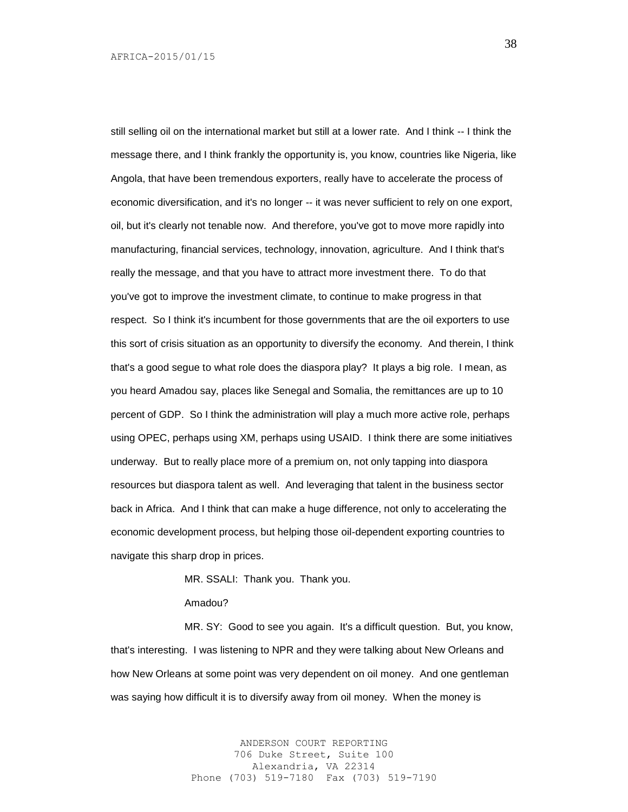still selling oil on the international market but still at a lower rate. And I think -- I think the message there, and I think frankly the opportunity is, you know, countries like Nigeria, like Angola, that have been tremendous exporters, really have to accelerate the process of economic diversification, and it's no longer -- it was never sufficient to rely on one export, oil, but it's clearly not tenable now. And therefore, you've got to move more rapidly into manufacturing, financial services, technology, innovation, agriculture. And I think that's really the message, and that you have to attract more investment there. To do that you've got to improve the investment climate, to continue to make progress in that respect. So I think it's incumbent for those governments that are the oil exporters to use this sort of crisis situation as an opportunity to diversify the economy. And therein, I think that's a good segue to what role does the diaspora play? It plays a big role. I mean, as you heard Amadou say, places like Senegal and Somalia, the remittances are up to 10 percent of GDP. So I think the administration will play a much more active role, perhaps using OPEC, perhaps using XM, perhaps using USAID. I think there are some initiatives underway. But to really place more of a premium on, not only tapping into diaspora resources but diaspora talent as well. And leveraging that talent in the business sector back in Africa. And I think that can make a huge difference, not only to accelerating the economic development process, but helping those oil-dependent exporting countries to navigate this sharp drop in prices.

MR. SSALI: Thank you. Thank you.

Amadou?

MR. SY: Good to see you again. It's a difficult question. But, you know, that's interesting. I was listening to NPR and they were talking about New Orleans and how New Orleans at some point was very dependent on oil money. And one gentleman was saying how difficult it is to diversify away from oil money. When the money is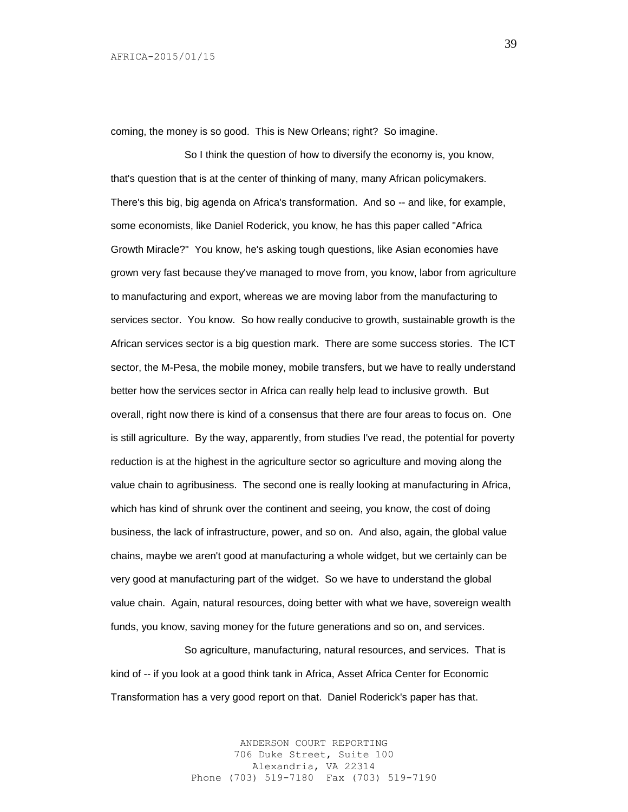coming, the money is so good. This is New Orleans; right? So imagine.

So I think the question of how to diversify the economy is, you know, that's question that is at the center of thinking of many, many African policymakers. There's this big, big agenda on Africa's transformation. And so -- and like, for example, some economists, like Daniel Roderick, you know, he has this paper called "Africa Growth Miracle?" You know, he's asking tough questions, like Asian economies have grown very fast because they've managed to move from, you know, labor from agriculture to manufacturing and export, whereas we are moving labor from the manufacturing to services sector. You know. So how really conducive to growth, sustainable growth is the African services sector is a big question mark. There are some success stories. The ICT sector, the M-Pesa, the mobile money, mobile transfers, but we have to really understand better how the services sector in Africa can really help lead to inclusive growth. But overall, right now there is kind of a consensus that there are four areas to focus on. One is still agriculture. By the way, apparently, from studies I've read, the potential for poverty reduction is at the highest in the agriculture sector so agriculture and moving along the value chain to agribusiness. The second one is really looking at manufacturing in Africa, which has kind of shrunk over the continent and seeing, you know, the cost of doing business, the lack of infrastructure, power, and so on. And also, again, the global value chains, maybe we aren't good at manufacturing a whole widget, but we certainly can be very good at manufacturing part of the widget. So we have to understand the global value chain. Again, natural resources, doing better with what we have, sovereign wealth funds, you know, saving money for the future generations and so on, and services.

So agriculture, manufacturing, natural resources, and services. That is kind of -- if you look at a good think tank in Africa, Asset Africa Center for Economic Transformation has a very good report on that. Daniel Roderick's paper has that.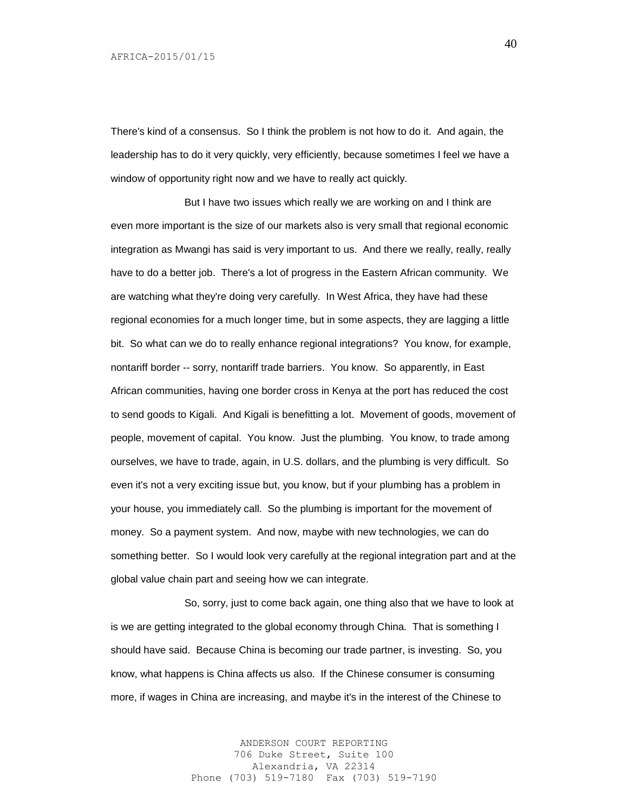There's kind of a consensus. So I think the problem is not how to do it. And again, the leadership has to do it very quickly, very efficiently, because sometimes I feel we have a window of opportunity right now and we have to really act quickly.

But I have two issues which really we are working on and I think are even more important is the size of our markets also is very small that regional economic integration as Mwangi has said is very important to us. And there we really, really, really have to do a better job. There's a lot of progress in the Eastern African community. We are watching what they're doing very carefully. In West Africa, they have had these regional economies for a much longer time, but in some aspects, they are lagging a little bit. So what can we do to really enhance regional integrations? You know, for example, nontariff border -- sorry, nontariff trade barriers. You know. So apparently, in East African communities, having one border cross in Kenya at the port has reduced the cost to send goods to Kigali. And Kigali is benefitting a lot. Movement of goods, movement of people, movement of capital. You know. Just the plumbing. You know, to trade among ourselves, we have to trade, again, in U.S. dollars, and the plumbing is very difficult. So even it's not a very exciting issue but, you know, but if your plumbing has a problem in your house, you immediately call. So the plumbing is important for the movement of money. So a payment system. And now, maybe with new technologies, we can do something better. So I would look very carefully at the regional integration part and at the global value chain part and seeing how we can integrate.

So, sorry, just to come back again, one thing also that we have to look at is we are getting integrated to the global economy through China. That is something I should have said. Because China is becoming our trade partner, is investing. So, you know, what happens is China affects us also. If the Chinese consumer is consuming more, if wages in China are increasing, and maybe it's in the interest of the Chinese to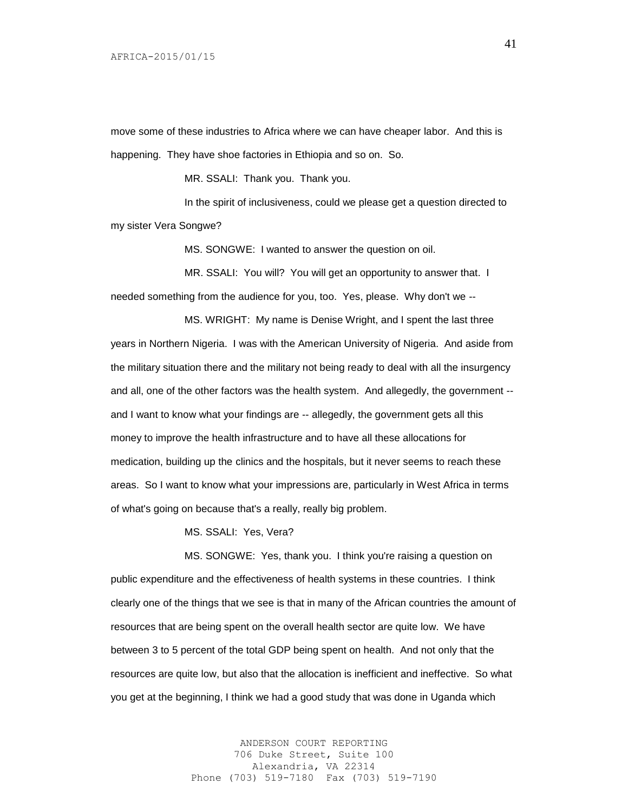move some of these industries to Africa where we can have cheaper labor. And this is happening. They have shoe factories in Ethiopia and so on. So.

MR. SSALI: Thank you. Thank you.

In the spirit of inclusiveness, could we please get a question directed to my sister Vera Songwe?

MS. SONGWE: I wanted to answer the question on oil.

MR. SSALI: You will? You will get an opportunity to answer that. I needed something from the audience for you, too. Yes, please. Why don't we --

MS. WRIGHT: My name is Denise Wright, and I spent the last three years in Northern Nigeria. I was with the American University of Nigeria. And aside from the military situation there and the military not being ready to deal with all the insurgency and all, one of the other factors was the health system. And allegedly, the government - and I want to know what your findings are -- allegedly, the government gets all this money to improve the health infrastructure and to have all these allocations for medication, building up the clinics and the hospitals, but it never seems to reach these areas. So I want to know what your impressions are, particularly in West Africa in terms of what's going on because that's a really, really big problem.

MS. SSALI: Yes, Vera?

MS. SONGWE: Yes, thank you. I think you're raising a question on public expenditure and the effectiveness of health systems in these countries. I think clearly one of the things that we see is that in many of the African countries the amount of resources that are being spent on the overall health sector are quite low. We have between 3 to 5 percent of the total GDP being spent on health. And not only that the resources are quite low, but also that the allocation is inefficient and ineffective. So what you get at the beginning, I think we had a good study that was done in Uganda which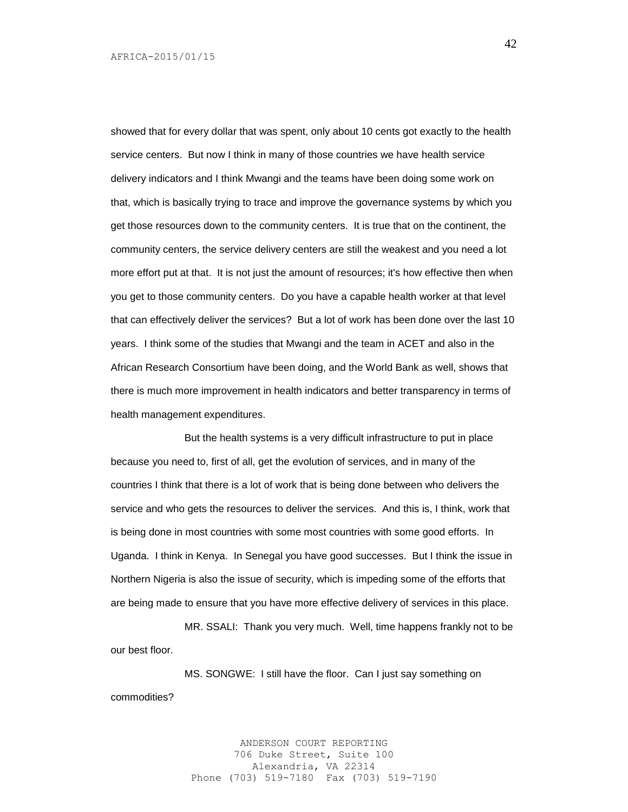showed that for every dollar that was spent, only about 10 cents got exactly to the health service centers. But now I think in many of those countries we have health service delivery indicators and I think Mwangi and the teams have been doing some work on that, which is basically trying to trace and improve the governance systems by which you get those resources down to the community centers. It is true that on the continent, the community centers, the service delivery centers are still the weakest and you need a lot more effort put at that. It is not just the amount of resources; it's how effective then when you get to those community centers. Do you have a capable health worker at that level that can effectively deliver the services? But a lot of work has been done over the last 10 years. I think some of the studies that Mwangi and the team in ACET and also in the African Research Consortium have been doing, and the World Bank as well, shows that there is much more improvement in health indicators and better transparency in terms of health management expenditures.

But the health systems is a very difficult infrastructure to put in place because you need to, first of all, get the evolution of services, and in many of the countries I think that there is a lot of work that is being done between who delivers the service and who gets the resources to deliver the services. And this is, I think, work that is being done in most countries with some most countries with some good efforts. In Uganda. I think in Kenya. In Senegal you have good successes. But I think the issue in Northern Nigeria is also the issue of security, which is impeding some of the efforts that are being made to ensure that you have more effective delivery of services in this place.

MR. SSALI: Thank you very much. Well, time happens frankly not to be our best floor.

MS. SONGWE: I still have the floor. Can I just say something on commodities?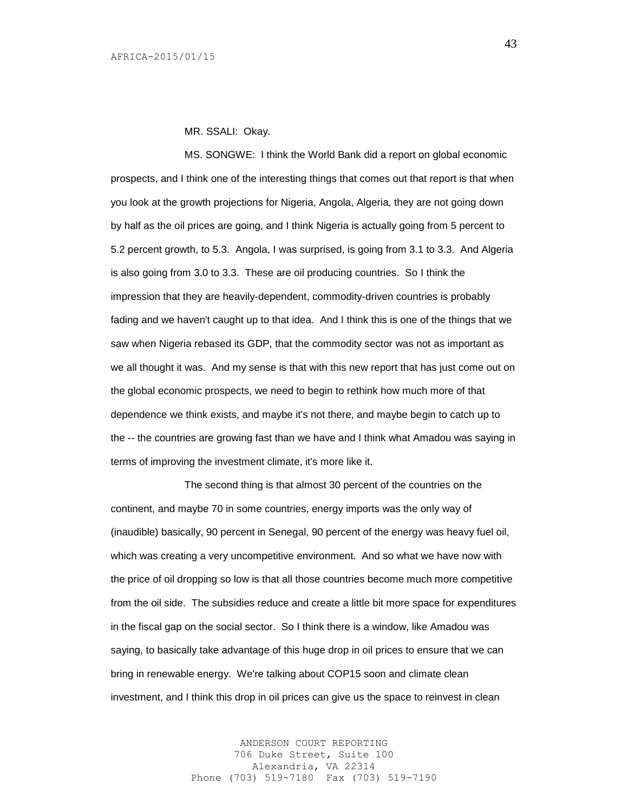MR. SSALI: Okay.

MS. SONGWE: I think the World Bank did a report on global economic prospects, and I think one of the interesting things that comes out that report is that when you look at the growth projections for Nigeria, Angola, Algeria, they are not going down by half as the oil prices are going, and I think Nigeria is actually going from 5 percent to 5.2 percent growth, to 5.3. Angola, I was surprised, is going from 3.1 to 3.3. And Algeria is also going from 3.0 to 3.3. These are oil producing countries. So I think the impression that they are heavily-dependent, commodity-driven countries is probably fading and we haven't caught up to that idea. And I think this is one of the things that we saw when Nigeria rebased its GDP, that the commodity sector was not as important as we all thought it was. And my sense is that with this new report that has just come out on the global economic prospects, we need to begin to rethink how much more of that dependence we think exists, and maybe it's not there, and maybe begin to catch up to the -- the countries are growing fast than we have and I think what Amadou was saying in terms of improving the investment climate, it's more like it.

The second thing is that almost 30 percent of the countries on the continent, and maybe 70 in some countries, energy imports was the only way of (inaudible) basically, 90 percent in Senegal, 90 percent of the energy was heavy fuel oil, which was creating a very uncompetitive environment. And so what we have now with the price of oil dropping so low is that all those countries become much more competitive from the oil side. The subsidies reduce and create a little bit more space for expenditures in the fiscal gap on the social sector. So I think there is a window, like Amadou was saying, to basically take advantage of this huge drop in oil prices to ensure that we can bring in renewable energy. We're talking about COP15 soon and climate clean investment, and I think this drop in oil prices can give us the space to reinvest in clean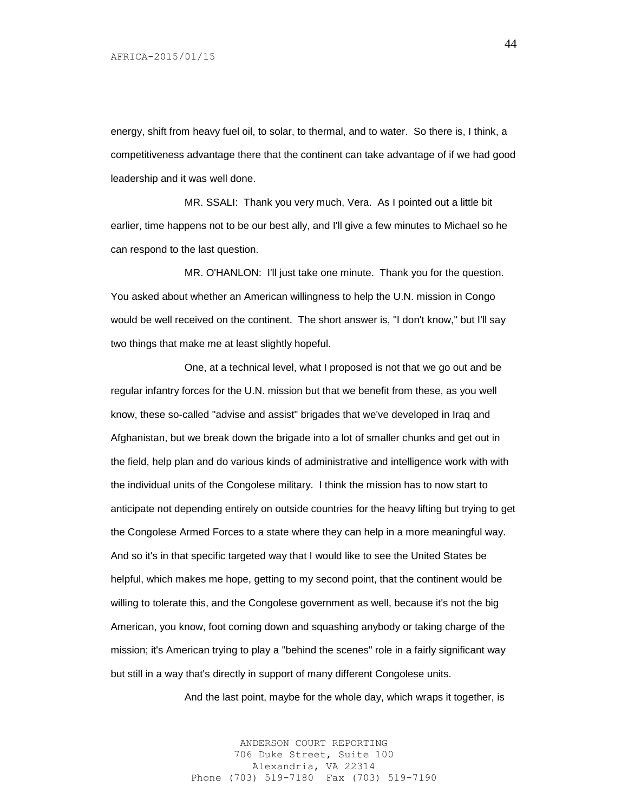energy, shift from heavy fuel oil, to solar, to thermal, and to water. So there is, I think, a competitiveness advantage there that the continent can take advantage of if we had good leadership and it was well done.

MR. SSALI: Thank you very much, Vera. As I pointed out a little bit earlier, time happens not to be our best ally, and I'll give a few minutes to Michael so he can respond to the last question.

MR. O'HANLON: I'll just take one minute. Thank you for the question. You asked about whether an American willingness to help the U.N. mission in Congo would be well received on the continent. The short answer is, "I don't know," but I'll say two things that make me at least slightly hopeful.

One, at a technical level, what I proposed is not that we go out and be regular infantry forces for the U.N. mission but that we benefit from these, as you well know, these so-called "advise and assist" brigades that we've developed in Iraq and Afghanistan, but we break down the brigade into a lot of smaller chunks and get out in the field, help plan and do various kinds of administrative and intelligence work with with the individual units of the Congolese military. I think the mission has to now start to anticipate not depending entirely on outside countries for the heavy lifting but trying to get the Congolese Armed Forces to a state where they can help in a more meaningful way. And so it's in that specific targeted way that I would like to see the United States be helpful, which makes me hope, getting to my second point, that the continent would be willing to tolerate this, and the Congolese government as well, because it's not the big American, you know, foot coming down and squashing anybody or taking charge of the mission; it's American trying to play a "behind the scenes" role in a fairly significant way but still in a way that's directly in support of many different Congolese units.

And the last point, maybe for the whole day, which wraps it together, is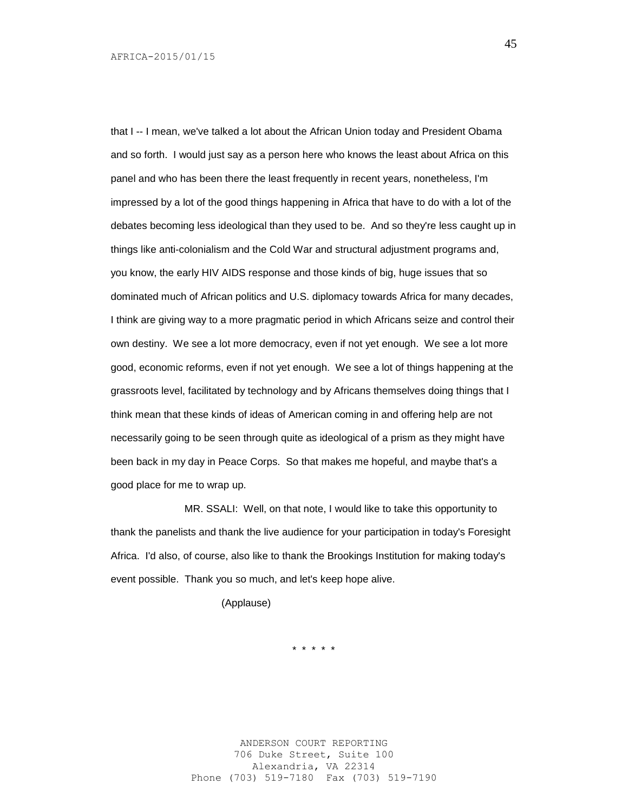that I -- I mean, we've talked a lot about the African Union today and President Obama and so forth. I would just say as a person here who knows the least about Africa on this panel and who has been there the least frequently in recent years, nonetheless, I'm impressed by a lot of the good things happening in Africa that have to do with a lot of the debates becoming less ideological than they used to be. And so they're less caught up in things like anti-colonialism and the Cold War and structural adjustment programs and, you know, the early HIV AIDS response and those kinds of big, huge issues that so dominated much of African politics and U.S. diplomacy towards Africa for many decades, I think are giving way to a more pragmatic period in which Africans seize and control their own destiny. We see a lot more democracy, even if not yet enough. We see a lot more good, economic reforms, even if not yet enough. We see a lot of things happening at the grassroots level, facilitated by technology and by Africans themselves doing things that I think mean that these kinds of ideas of American coming in and offering help are not necessarily going to be seen through quite as ideological of a prism as they might have been back in my day in Peace Corps. So that makes me hopeful, and maybe that's a good place for me to wrap up.

MR. SSALI: Well, on that note, I would like to take this opportunity to thank the panelists and thank the live audience for your participation in today's Foresight Africa. I'd also, of course, also like to thank the Brookings Institution for making today's event possible. Thank you so much, and let's keep hope alive.

(Applause)

\* \* \* \* \*